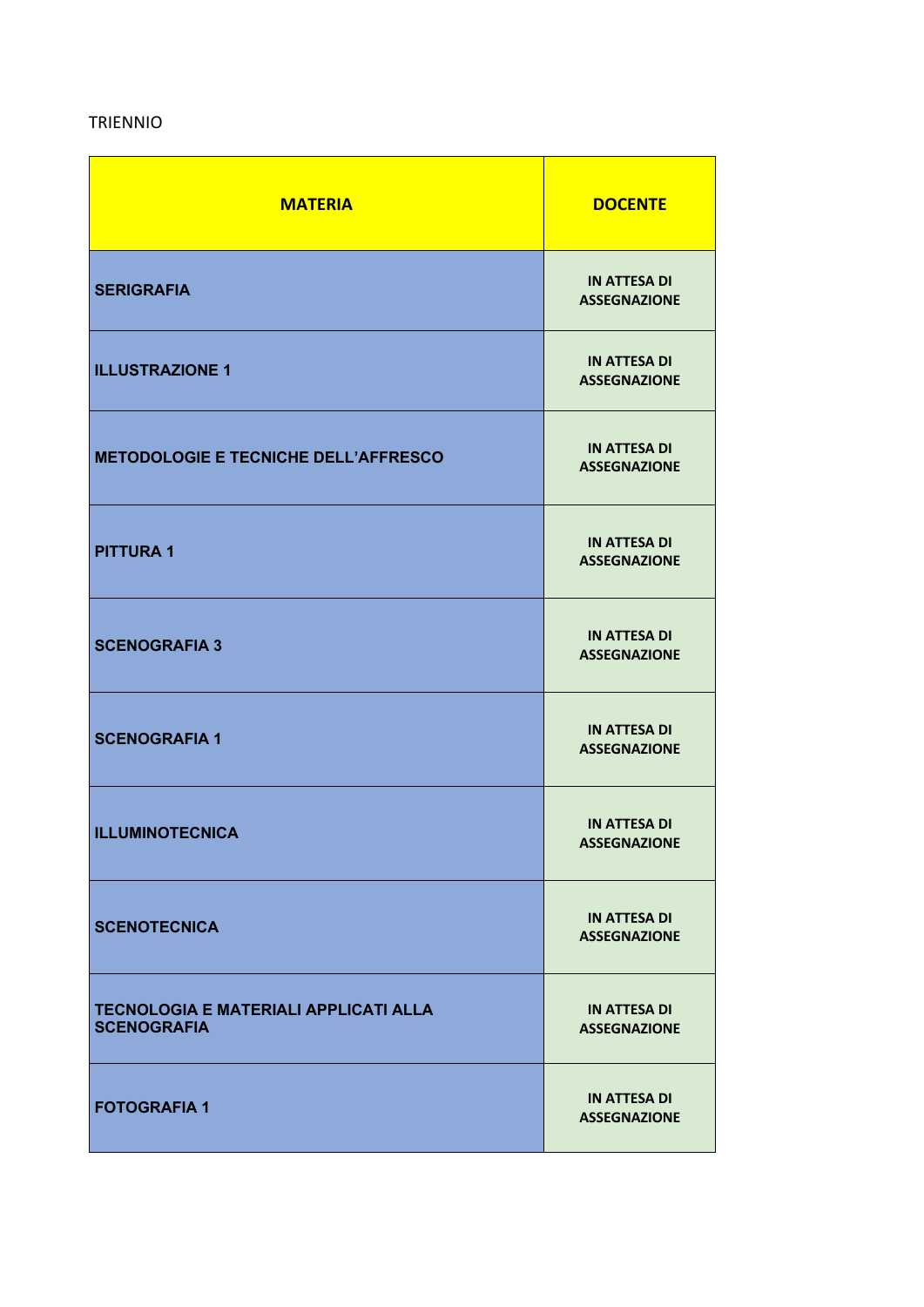## TRIENNIO

| <b>MATERIA</b>                                                     | <b>DOCENTE</b>                             |
|--------------------------------------------------------------------|--------------------------------------------|
| <b>SERIGRAFIA</b>                                                  | <b>IN ATTESA DI</b><br><b>ASSEGNAZIONE</b> |
| <b>ILLUSTRAZIONE 1</b>                                             | <b>IN ATTESA DI</b><br><b>ASSEGNAZIONE</b> |
| <b>METODOLOGIE E TECNICHE DELL'AFFRESCO</b>                        | <b>IN ATTESA DI</b><br><b>ASSEGNAZIONE</b> |
| <b>PITTURA1</b>                                                    | <b>IN ATTESA DI</b><br><b>ASSEGNAZIONE</b> |
| <b>SCENOGRAFIA 3</b>                                               | <b>IN ATTESA DI</b><br><b>ASSEGNAZIONE</b> |
| <b>SCENOGRAFIA 1</b>                                               | <b>IN ATTESA DI</b><br><b>ASSEGNAZIONE</b> |
| <b>ILLUMINOTECNICA</b>                                             | <b>IN ATTESA DI</b><br><b>ASSEGNAZIONE</b> |
| <b>SCENOTECNICA</b>                                                | <b>IN ATTESA DI</b><br><b>ASSEGNAZIONE</b> |
| <b>TECNOLOGIA E MATERIALI APPLICATI ALLA</b><br><b>SCENOGRAFIA</b> | <b>IN ATTESA DI</b><br><b>ASSEGNAZIONE</b> |
| <b>FOTOGRAFIA 1</b>                                                | <b>IN ATTESA DI</b><br><b>ASSEGNAZIONE</b> |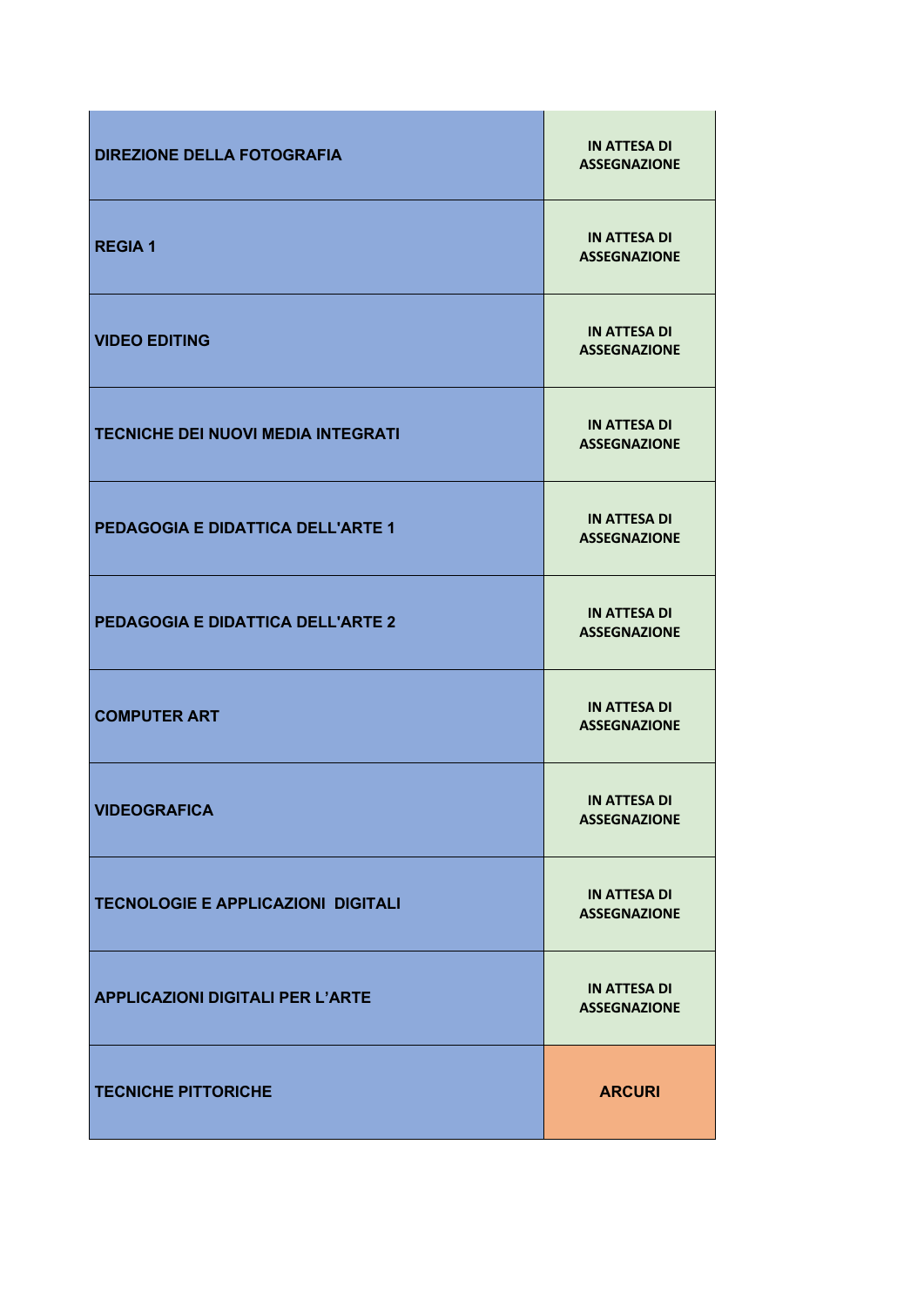| <b>DIREZIONE DELLA FOTOGRAFIA</b>         | <b>IN ATTESA DI</b><br><b>ASSEGNAZIONE</b> |
|-------------------------------------------|--------------------------------------------|
| <b>REGIA1</b>                             | <b>IN ATTESA DI</b><br><b>ASSEGNAZIONE</b> |
| <b>VIDEO EDITING</b>                      | <b>IN ATTESA DI</b><br><b>ASSEGNAZIONE</b> |
| <b>TECNICHE DEI NUOVI MEDIA INTEGRATI</b> | <b>IN ATTESA DI</b><br><b>ASSEGNAZIONE</b> |
| <b>PEDAGOGIA E DIDATTICA DELL'ARTE 1</b>  | <b>IN ATTESA DI</b><br><b>ASSEGNAZIONE</b> |
| <b>PEDAGOGIA E DIDATTICA DELL'ARTE 2</b>  | <b>IN ATTESA DI</b><br><b>ASSEGNAZIONE</b> |
| <b>COMPUTER ART</b>                       | <b>IN ATTESA DI</b><br><b>ASSEGNAZIONE</b> |
| <b>VIDEOGRAFICA</b>                       | <b>IN ATTESA DI</b><br><b>ASSEGNAZIONE</b> |
| <b>TECNOLOGIE E APPLICAZIONI DIGITALI</b> | <b>IN ATTESA DI</b><br><b>ASSEGNAZIONE</b> |
| <b>APPLICAZIONI DIGITALI PER L'ARTE</b>   | <b>IN ATTESA DI</b><br><b>ASSEGNAZIONE</b> |
| <b>TECNICHE PITTORICHE</b>                | <b>ARCURI</b>                              |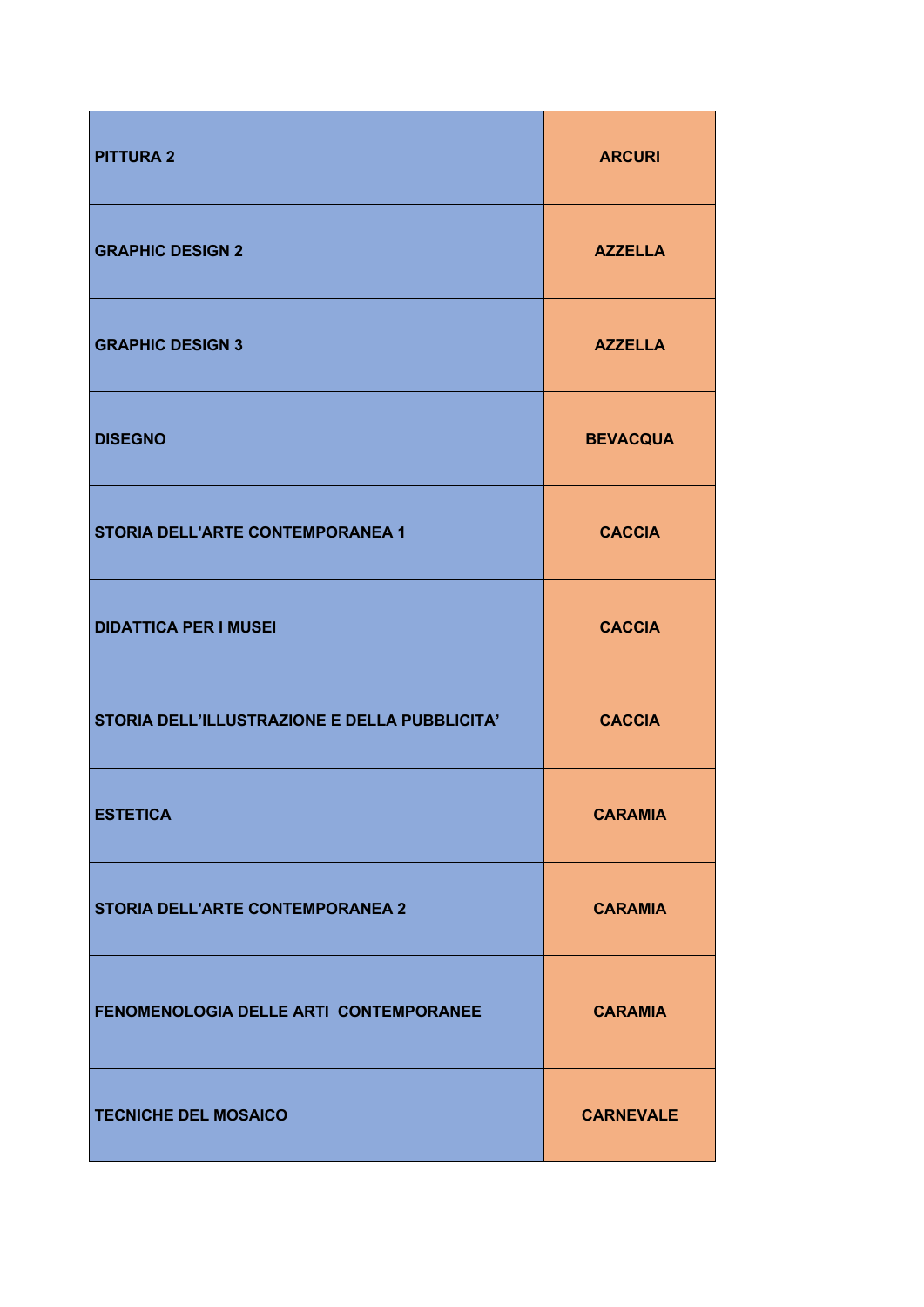| <b>PITTURA 2</b>                              | <b>ARCURI</b>    |
|-----------------------------------------------|------------------|
| <b>GRAPHIC DESIGN 2</b>                       | <b>AZZELLA</b>   |
| <b>GRAPHIC DESIGN 3</b>                       | <b>AZZELLA</b>   |
| <b>DISEGNO</b>                                | <b>BEVACQUA</b>  |
| <b>STORIA DELL'ARTE CONTEMPORANEA 1</b>       | <b>CACCIA</b>    |
| <b>DIDATTICA PER I MUSEI</b>                  | <b>CACCIA</b>    |
| STORIA DELL'ILLUSTRAZIONE E DELLA PUBBLICITA' | <b>CACCIA</b>    |
| <b>ESTETICA</b>                               | <b>CARAMIA</b>   |
| STORIA DELL'ARTE CONTEMPORANEA 2              | <b>CARAMIA</b>   |
| FENOMENOLOGIA DELLE ARTI CONTEMPORANEE        | <b>CARAMIA</b>   |
| <b>TECNICHE DEL MOSAICO</b>                   | <b>CARNEVALE</b> |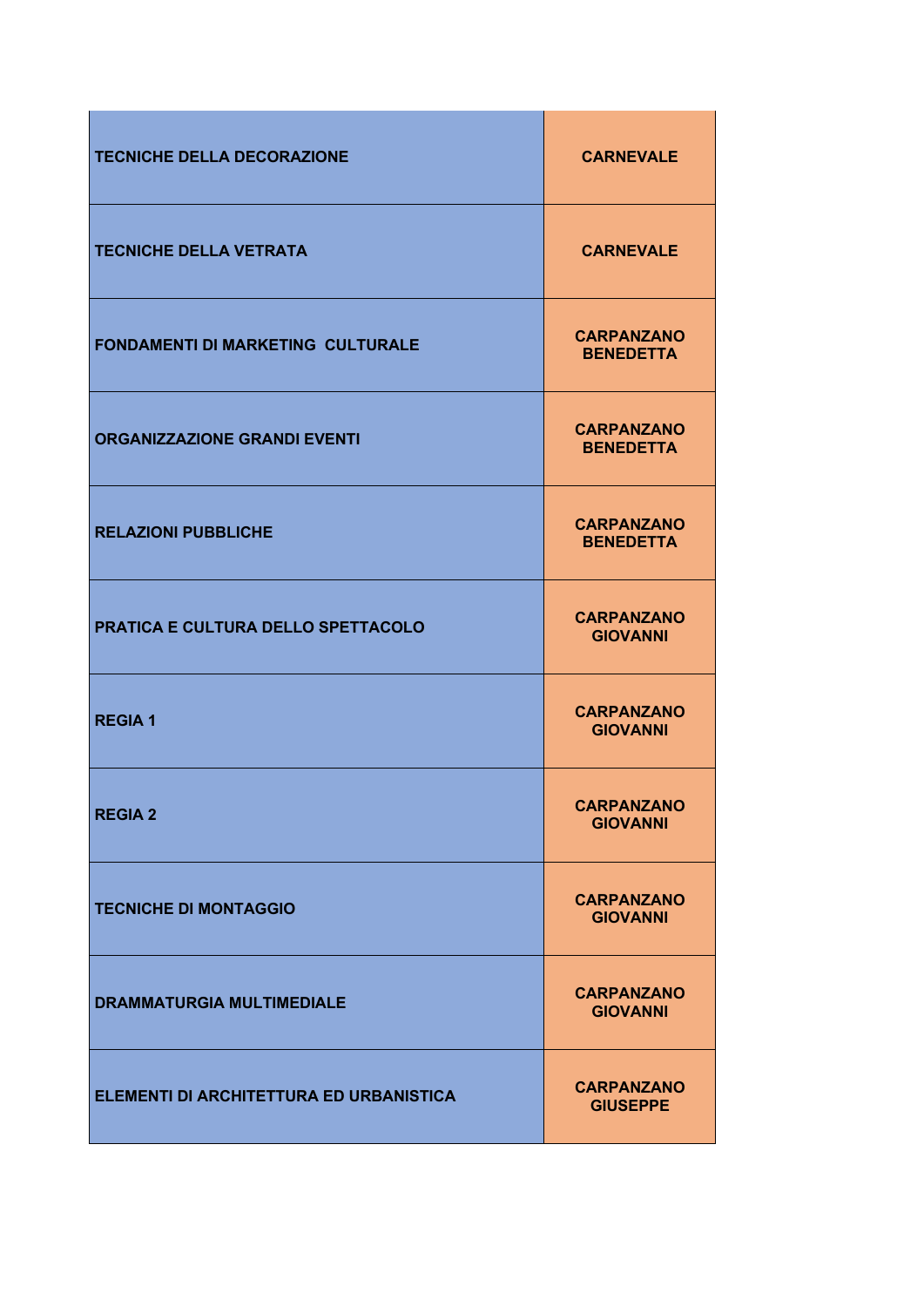| <b>TECNICHE DELLA DECORAZIONE</b>        | <b>CARNEVALE</b>                      |
|------------------------------------------|---------------------------------------|
| <b>TECNICHE DELLA VETRATA</b>            | <b>CARNEVALE</b>                      |
| <b>FONDAMENTI DI MARKETING CULTURALE</b> | <b>CARPANZANO</b><br><b>BENEDETTA</b> |
| <b>ORGANIZZAZIONE GRANDI EVENTI</b>      | <b>CARPANZANO</b><br><b>BENEDETTA</b> |
| <b>RELAZIONI PUBBLICHE</b>               | <b>CARPANZANO</b><br><b>BENEDETTA</b> |
| PRATICA E CULTURA DELLO SPETTACOLO       | <b>CARPANZANO</b><br><b>GIOVANNI</b>  |
| <b>REGIA1</b>                            | <b>CARPANZANO</b><br><b>GIOVANNI</b>  |
| <b>REGIA 2</b>                           | <b>CARPANZANO</b><br><b>GIOVANNI</b>  |
| <b>TECNICHE DI MONTAGGIO</b>             | <b>CARPANZANO</b><br><b>GIOVANNI</b>  |
| <b>DRAMMATURGIA MULTIMEDIALE</b>         | <b>CARPANZANO</b><br><b>GIOVANNI</b>  |
| ELEMENTI DI ARCHITETTURA ED URBANISTICA  | <b>CARPANZANO</b><br><b>GIUSEPPE</b>  |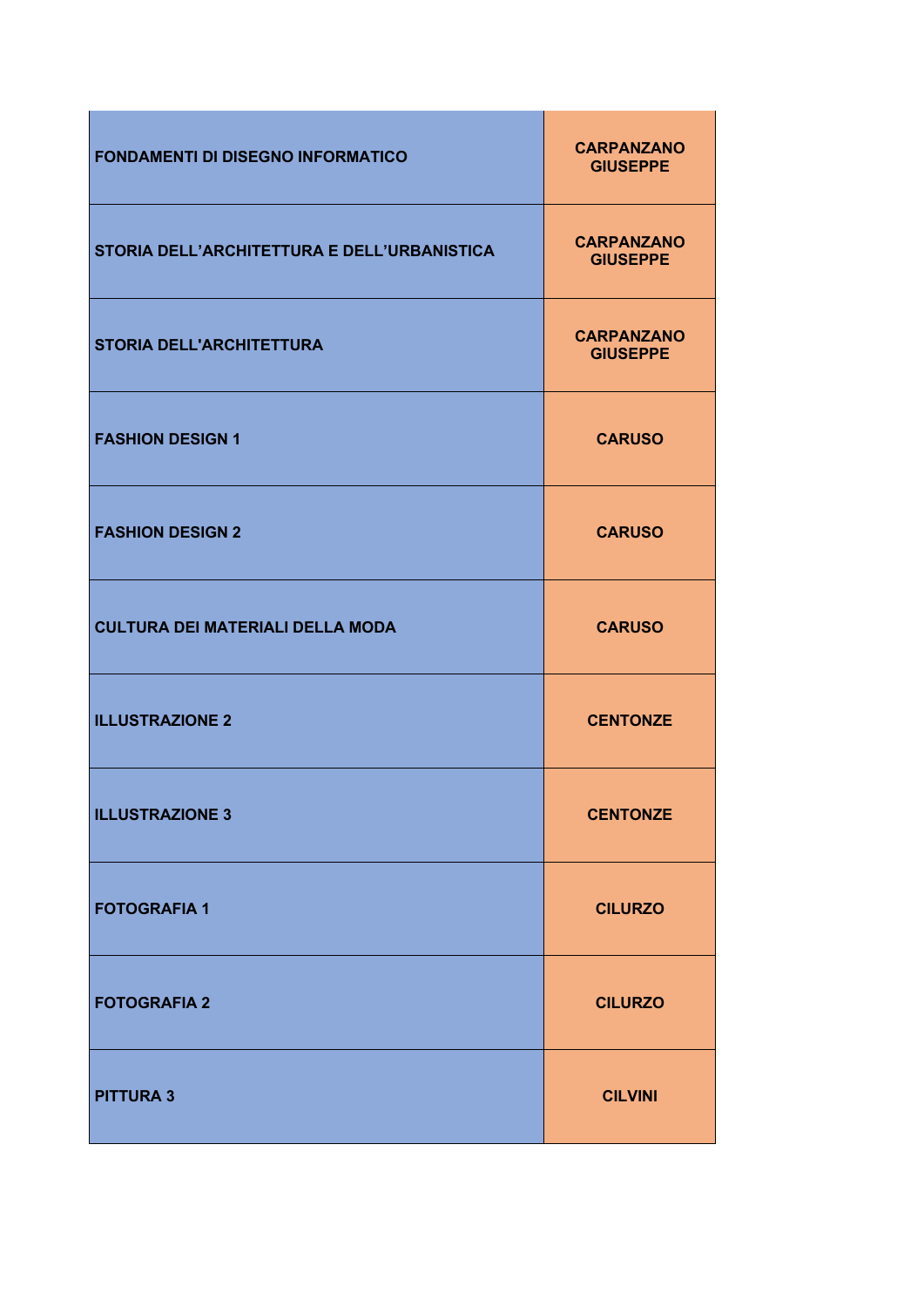| <b>FONDAMENTI DI DISEGNO INFORMATICO</b>    | <b>CARPANZANO</b><br><b>GIUSEPPE</b> |
|---------------------------------------------|--------------------------------------|
| STORIA DELL'ARCHITETTURA E DELL'URBANISTICA | <b>CARPANZANO</b><br><b>GIUSEPPE</b> |
| <b>STORIA DELL'ARCHITETTURA</b>             | <b>CARPANZANO</b><br><b>GIUSEPPE</b> |
| <b>FASHION DESIGN 1</b>                     | <b>CARUSO</b>                        |
| <b>FASHION DESIGN 2</b>                     | <b>CARUSO</b>                        |
| <b>CULTURA DEI MATERIALI DELLA MODA</b>     | <b>CARUSO</b>                        |
| <b>ILLUSTRAZIONE 2</b>                      | <b>CENTONZE</b>                      |
| <b>ILLUSTRAZIONE 3</b>                      | <b>CENTONZE</b>                      |
| <b>FOTOGRAFIA 1</b>                         | <b>CILURZO</b>                       |
| <b>FOTOGRAFIA 2</b>                         | <b>CILURZO</b>                       |
| <b>PITTURA 3</b>                            | <b>CILVINI</b>                       |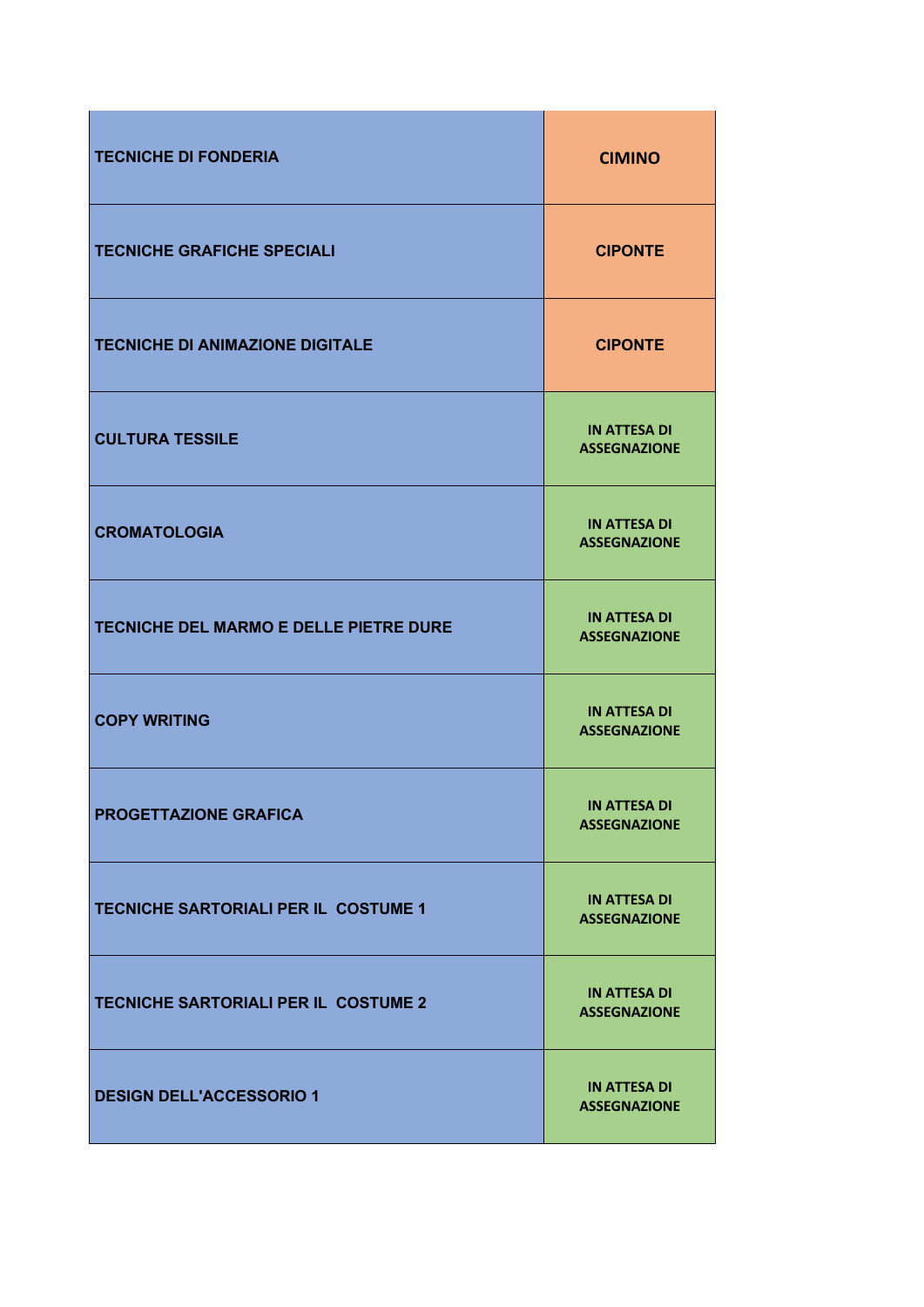| <b>TECNICHE DI FONDERIA</b>            | <b>CIMINO</b>                              |
|----------------------------------------|--------------------------------------------|
| <b>TECNICHE GRAFICHE SPECIALI</b>      | <b>CIPONTE</b>                             |
| <b>TECNICHE DI ANIMAZIONE DIGITALE</b> | <b>CIPONTE</b>                             |
| <b>CULTURA TESSILE</b>                 | <b>IN ATTESA DI</b><br><b>ASSEGNAZIONE</b> |
| <b>CROMATOLOGIA</b>                    | <b>IN ATTESA DI</b><br><b>ASSEGNAZIONE</b> |
| TECNICHE DEL MARMO E DELLE PIETRE DURE | <b>IN ATTESA DI</b><br><b>ASSEGNAZIONE</b> |
| <b>COPY WRITING</b>                    | <b>IN ATTESA DI</b><br><b>ASSEGNAZIONE</b> |
| PROGETTAZIONE GRAFICA                  | <b>IN ATTESA DI</b><br><b>ASSEGNAZIONE</b> |
| TECNICHE SARTORIALI PER IL COSTUME 1   | <b>IN ATTESA DI</b><br><b>ASSEGNAZIONE</b> |
| TECNICHE SARTORIALI PER IL COSTUME 2   | <b>IN ATTESA DI</b><br><b>ASSEGNAZIONE</b> |
| <b>DESIGN DELL'ACCESSORIO 1</b>        | <b>IN ATTESA DI</b><br><b>ASSEGNAZIONE</b> |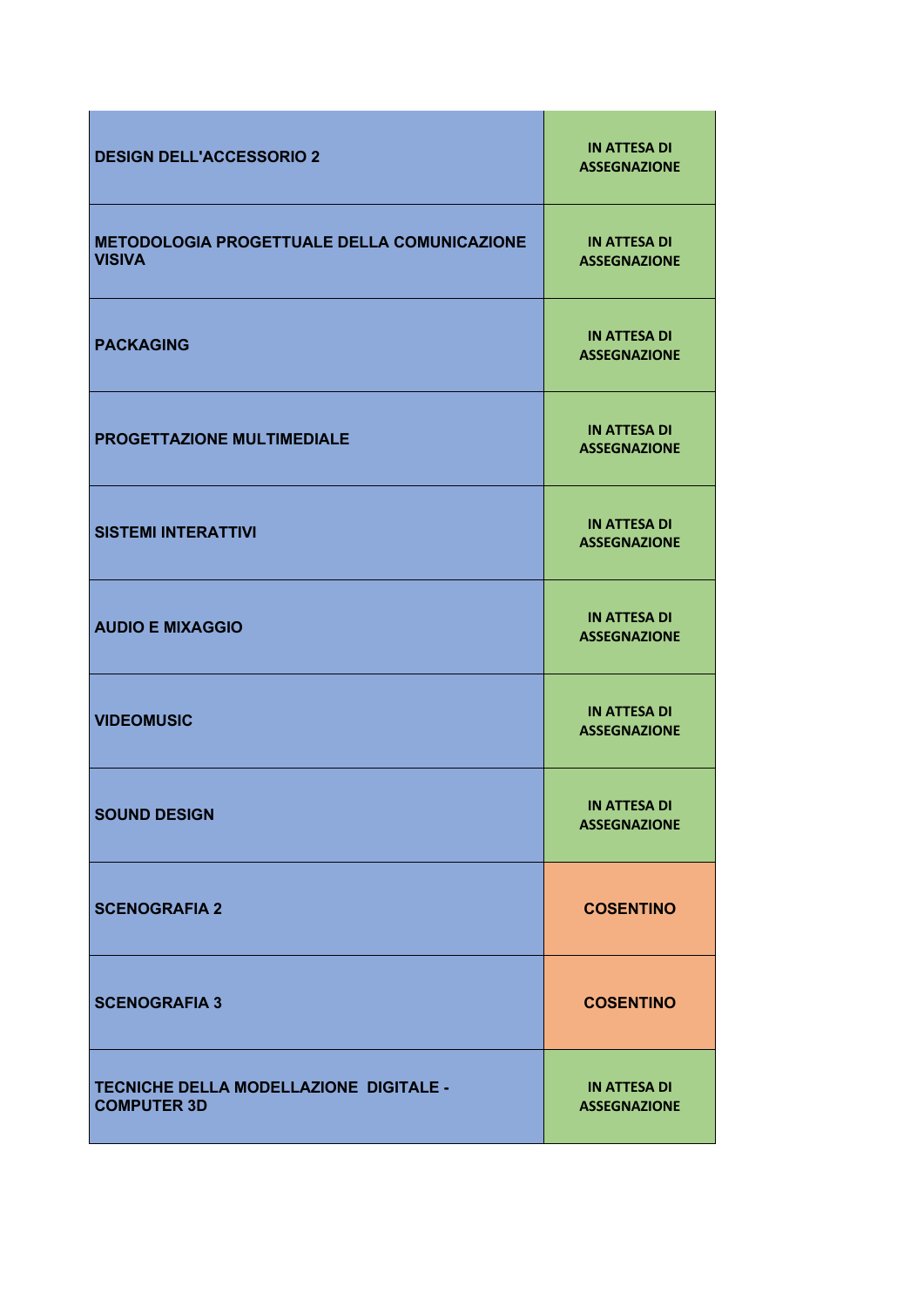| <b>DESIGN DELL'ACCESSORIO 2</b>                                     | <b>IN ATTESA DI</b><br><b>ASSEGNAZIONE</b> |
|---------------------------------------------------------------------|--------------------------------------------|
| <b>METODOLOGIA PROGETTUALE DELLA COMUNICAZIONE</b><br><b>VISIVA</b> | <b>IN ATTESA DI</b><br><b>ASSEGNAZIONE</b> |
| <b>PACKAGING</b>                                                    | <b>IN ATTESA DI</b><br><b>ASSEGNAZIONE</b> |
| PROGETTAZIONE MULTIMEDIALE                                          | <b>IN ATTESA DI</b><br><b>ASSEGNAZIONE</b> |
| <b>SISTEMI INTERATTIVI</b>                                          | <b>IN ATTESA DI</b><br><b>ASSEGNAZIONE</b> |
| <b>AUDIO E MIXAGGIO</b>                                             | <b>IN ATTESA DI</b><br><b>ASSEGNAZIONE</b> |
| <b>VIDEOMUSIC</b>                                                   | <b>IN ATTESA DI</b><br><b>ASSEGNAZIONE</b> |
| <b>SOUND DESIGN</b>                                                 | <b>IN ATTESA DI</b><br><b>ASSEGNAZIONE</b> |
| <b>SCENOGRAFIA 2</b>                                                | <b>COSENTINO</b>                           |
| <b>SCENOGRAFIA 3</b>                                                | <b>COSENTINO</b>                           |
| TECNICHE DELLA MODELLAZIONE DIGITALE -<br><b>COMPUTER 3D</b>        | <b>IN ATTESA DI</b><br><b>ASSEGNAZIONE</b> |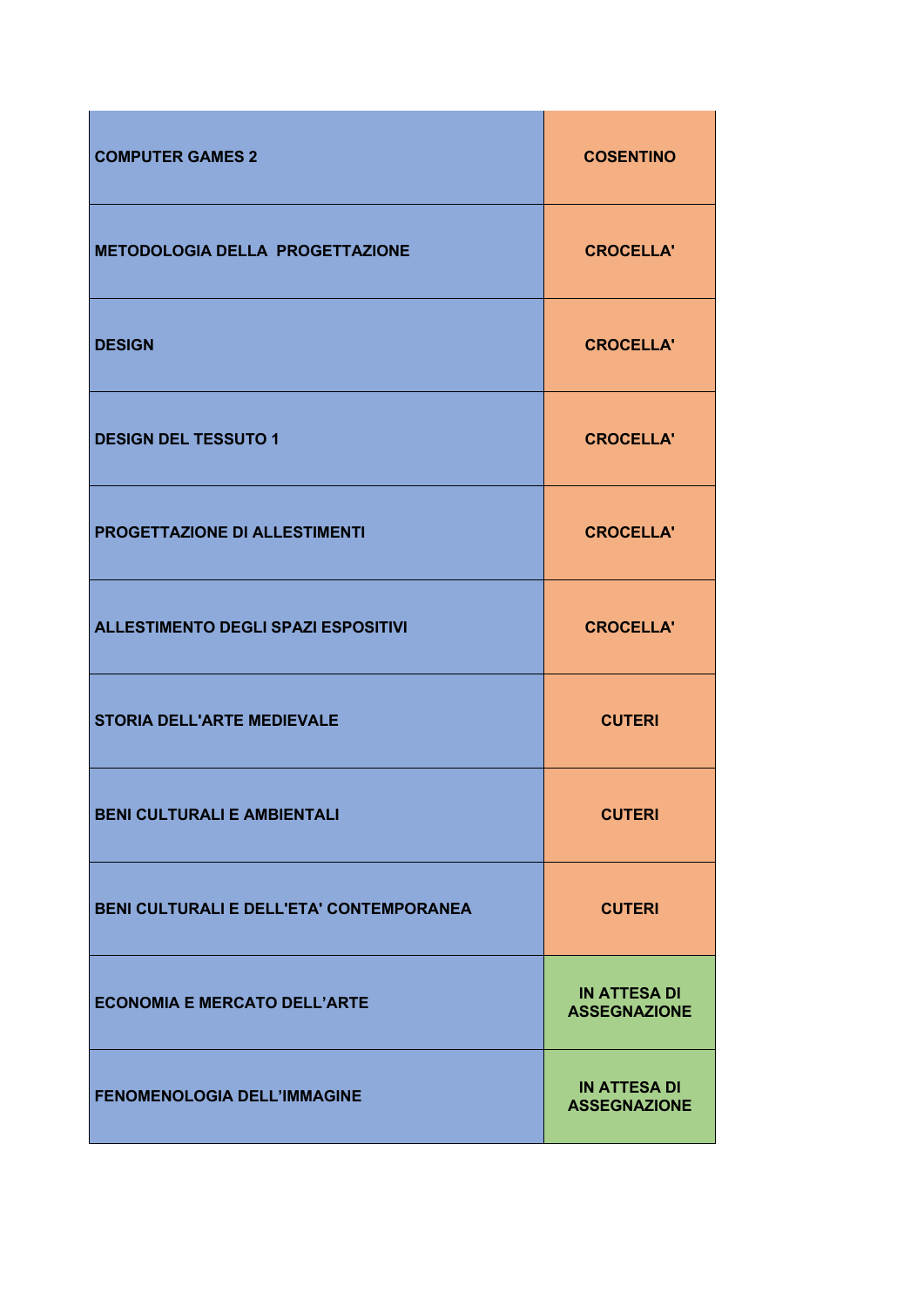| <b>COMPUTER GAMES 2</b>                    | <b>COSENTINO</b>                           |
|--------------------------------------------|--------------------------------------------|
| <b>METODOLOGIA DELLA PROGETTAZIONE</b>     | <b>CROCELLA'</b>                           |
| <b>DESIGN</b>                              | <b>CROCELLA'</b>                           |
| <b>DESIGN DEL TESSUTO 1</b>                | <b>CROCELLA'</b>                           |
| PROGETTAZIONE DI ALLESTIMENTI              | <b>CROCELLA'</b>                           |
| <b>ALLESTIMENTO DEGLI SPAZI ESPOSITIVI</b> | <b>CROCELLA'</b>                           |
| <b>STORIA DELL'ARTE MEDIEVALE</b>          | <b>CUTERI</b>                              |
| <b>BENI CULTURALI E AMBIENTALI</b>         | <b>CUTERI</b>                              |
| BENI CULTURALI E DELL'ETA' CONTEMPORANEA   | <b>CUTERI</b>                              |
| <b>ECONOMIA E MERCATO DELL'ARTE</b>        | <b>IN ATTESA DI</b><br><b>ASSEGNAZIONE</b> |
| <b>FENOMENOLOGIA DELL'IMMAGINE</b>         | <b>IN ATTESA DI</b><br><b>ASSEGNAZIONE</b> |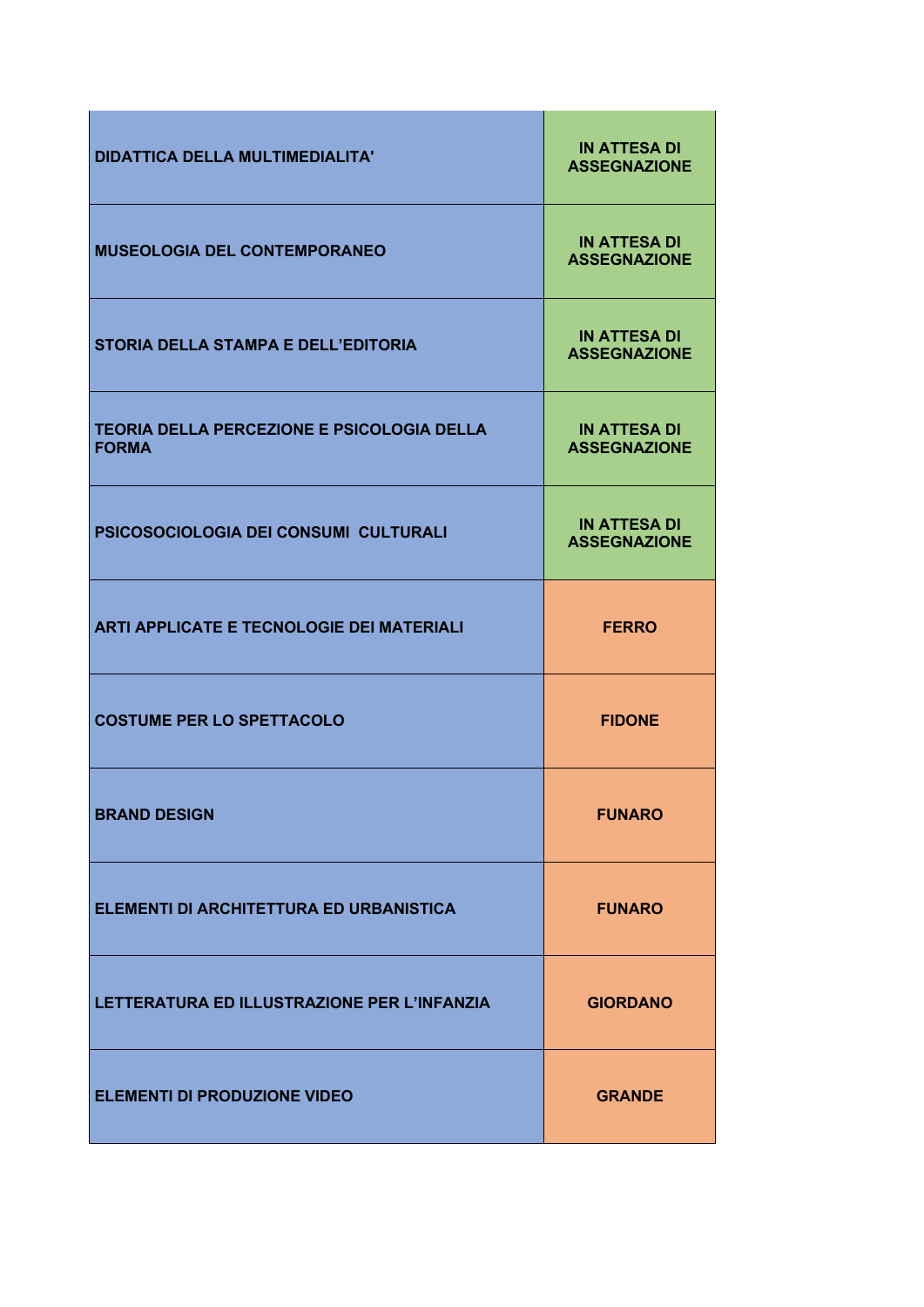| <b>DIDATTICA DELLA MULTIMEDIALITA'</b>                            | <b>IN ATTESA DI</b><br><b>ASSEGNAZIONE</b> |
|-------------------------------------------------------------------|--------------------------------------------|
| <b>MUSEOLOGIA DEL CONTEMPORANEO</b>                               | <b>IN ATTESA DI</b><br><b>ASSEGNAZIONE</b> |
| <b>STORIA DELLA STAMPA E DELL'EDITORIA</b>                        | <b>IN ATTESA DI</b><br><b>ASSEGNAZIONE</b> |
| <b>TEORIA DELLA PERCEZIONE E PSICOLOGIA DELLA</b><br><b>FORMA</b> | <b>IN ATTESA DI</b><br><b>ASSEGNAZIONE</b> |
| PSICOSOCIOLOGIA DEI CONSUMI CULTURALI                             | <b>IN ATTESA DI</b><br><b>ASSEGNAZIONE</b> |
| <b>ARTI APPLICATE E TECNOLOGIE DEI MATERIALI</b>                  | <b>FERRO</b>                               |
| <b>COSTUME PER LO SPETTACOLO</b>                                  | <b>FIDONE</b>                              |
| <b>BRAND DESIGN</b>                                               | <b>FUNARO</b>                              |
| ELEMENTI DI ARCHITETTURA ED URBANISTICA                           | <b>FUNARO</b>                              |
| LETTERATURA ED ILLUSTRAZIONE PER L'INFANZIA                       | <b>GIORDANO</b>                            |
| <b>ELEMENTI DI PRODUZIONE VIDEO</b>                               | <b>GRANDE</b>                              |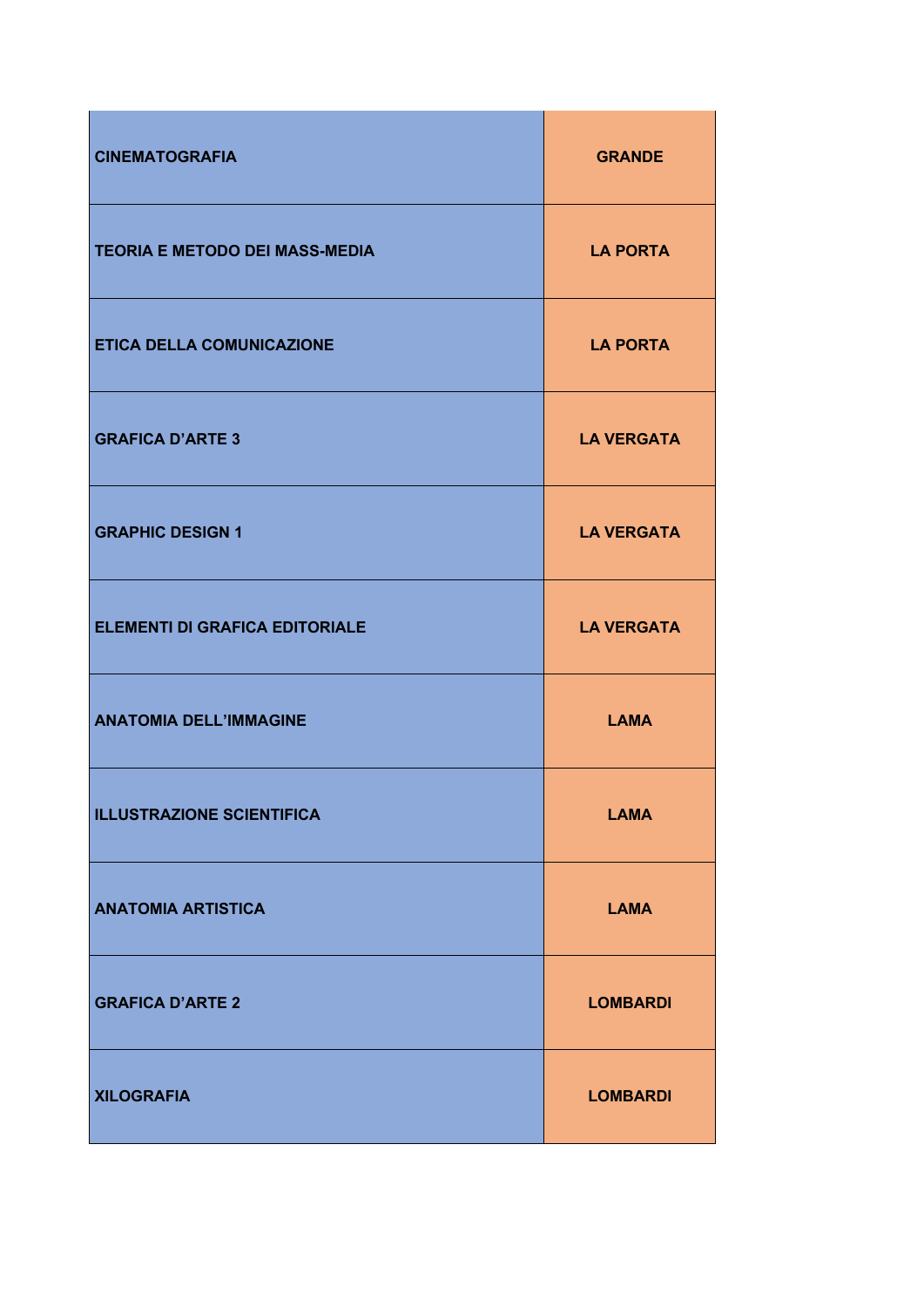| <b>CINEMATOGRAFIA</b>                 | <b>GRANDE</b>     |
|---------------------------------------|-------------------|
| <b>TEORIA E METODO DEI MASS-MEDIA</b> | <b>LA PORTA</b>   |
| ETICA DELLA COMUNICAZIONE             | <b>LA PORTA</b>   |
| <b>GRAFICA D'ARTE 3</b>               | <b>LA VERGATA</b> |
| <b>GRAPHIC DESIGN 1</b>               | <b>LA VERGATA</b> |
| <b>ELEMENTI DI GRAFICA EDITORIALE</b> | <b>LA VERGATA</b> |
| <b>ANATOMIA DELL'IMMAGINE</b>         | <b>LAMA</b>       |
| <b>ILLUSTRAZIONE SCIENTIFICA</b>      | <b>LAMA</b>       |
| <b>ANATOMIA ARTISTICA</b>             | <b>LAMA</b>       |
| <b>GRAFICA D'ARTE 2</b>               | <b>LOMBARDI</b>   |
| <b>XILOGRAFIA</b>                     | <b>LOMBARDI</b>   |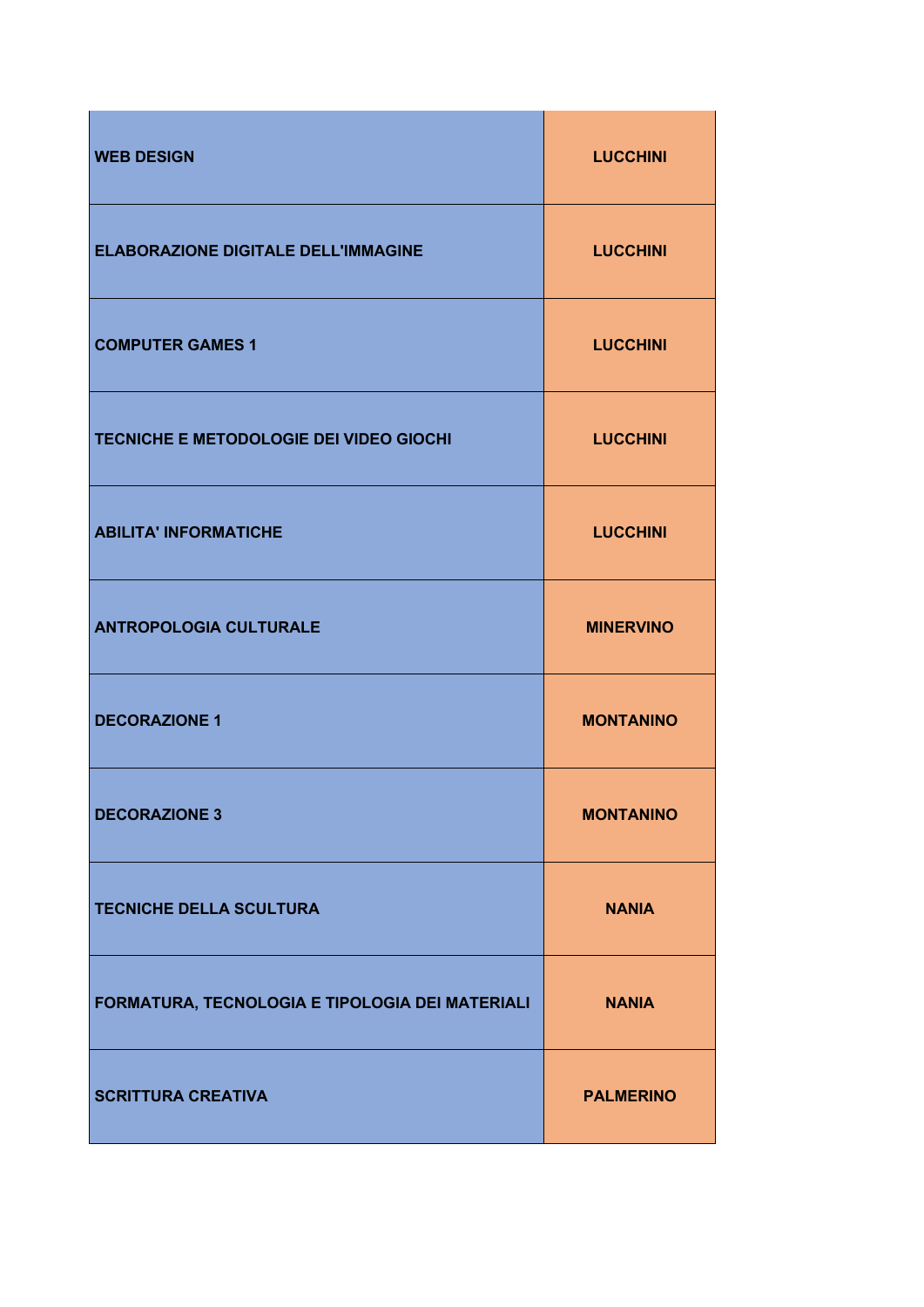| <b>WEB DESIGN</b>                               | <b>LUCCHINI</b>  |
|-------------------------------------------------|------------------|
| <b>ELABORAZIONE DIGITALE DELL'IMMAGINE</b>      | <b>LUCCHINI</b>  |
| <b>COMPUTER GAMES 1</b>                         | <b>LUCCHINI</b>  |
| TECNICHE E METODOLOGIE DEI VIDEO GIOCHI         | <b>LUCCHINI</b>  |
| <b>ABILITA' INFORMATICHE</b>                    | <b>LUCCHINI</b>  |
| <b>ANTROPOLOGIA CULTURALE</b>                   | <b>MINERVINO</b> |
| <b>DECORAZIONE 1</b>                            | <b>MONTANINO</b> |
| <b>DECORAZIONE 3</b>                            | <b>MONTANINO</b> |
| <b>TECNICHE DELLA SCULTURA</b>                  | <b>NANIA</b>     |
| FORMATURA, TECNOLOGIA E TIPOLOGIA DEI MATERIALI | <b>NANIA</b>     |
| <b>SCRITTURA CREATIVA</b>                       | <b>PALMERINO</b> |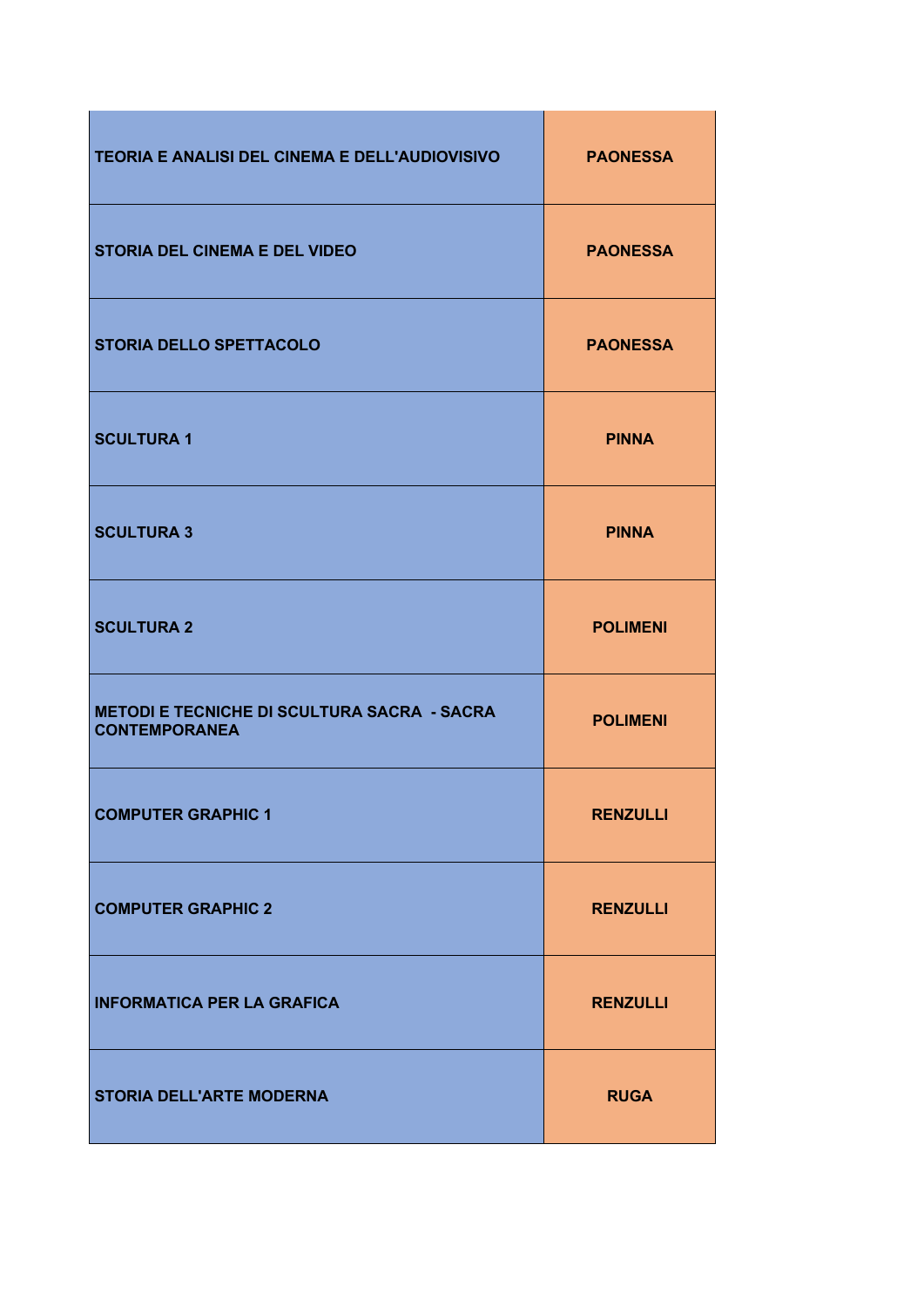| TEORIA E ANALISI DEL CINEMA E DELL'AUDIOVISIVO                             | <b>PAONESSA</b> |
|----------------------------------------------------------------------------|-----------------|
| <b>STORIA DEL CINEMA E DEL VIDEO</b>                                       | <b>PAONESSA</b> |
| <b>STORIA DELLO SPETTACOLO</b>                                             | <b>PAONESSA</b> |
| <b>SCULTURA 1</b>                                                          | <b>PINNA</b>    |
| <b>SCULTURA 3</b>                                                          | <b>PINNA</b>    |
| <b>SCULTURA 2</b>                                                          | <b>POLIMENI</b> |
| <b>METODI E TECNICHE DI SCULTURA SACRA - SACRA</b><br><b>CONTEMPORANEA</b> | <b>POLIMENI</b> |
| <b>COMPUTER GRAPHIC 1</b>                                                  | <b>RENZULLI</b> |
| <b>COMPUTER GRAPHIC 2</b>                                                  | <b>RENZULLI</b> |
| <b>INFORMATICA PER LA GRAFICA</b>                                          | <b>RENZULLI</b> |
| <b>STORIA DELL'ARTE MODERNA</b>                                            | <b>RUGA</b>     |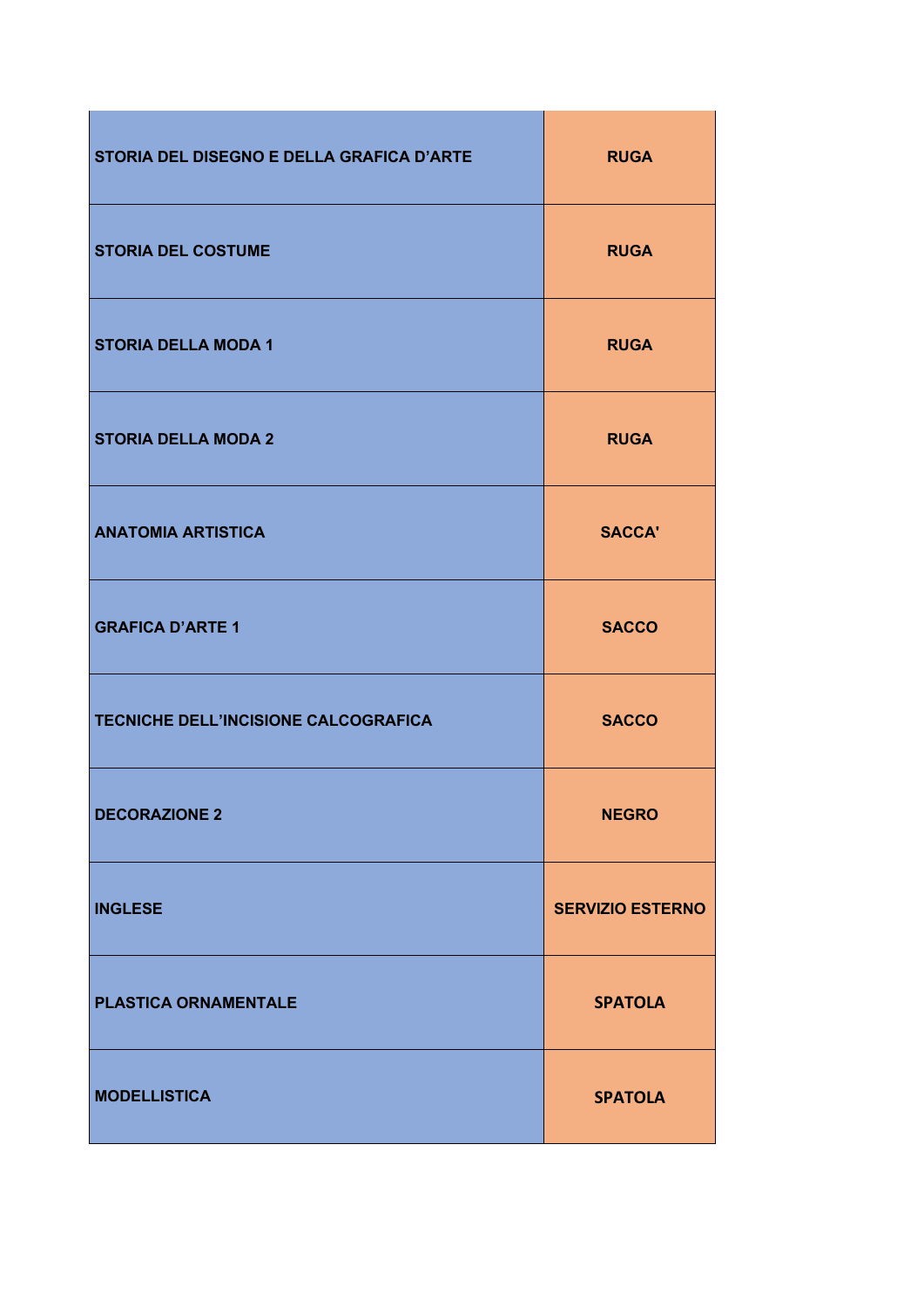| STORIA DEL DISEGNO E DELLA GRAFICA D'ARTE | <b>RUGA</b>             |
|-------------------------------------------|-------------------------|
| <b>STORIA DEL COSTUME</b>                 | <b>RUGA</b>             |
| <b>STORIA DELLA MODA 1</b>                | <b>RUGA</b>             |
| <b>STORIA DELLA MODA 2</b>                | <b>RUGA</b>             |
| <b>ANATOMIA ARTISTICA</b>                 | <b>SACCA'</b>           |
| <b>GRAFICA D'ARTE 1</b>                   | <b>SACCO</b>            |
| TECNICHE DELL'INCISIONE CALCOGRAFICA      | <b>SACCO</b>            |
| <b>DECORAZIONE 2</b>                      | <b>NEGRO</b>            |
| <b>INGLESE</b>                            | <b>SERVIZIO ESTERNO</b> |
| <b>PLASTICA ORNAMENTALE</b>               | <b>SPATOLA</b>          |
| <b>MODELLISTICA</b>                       | <b>SPATOLA</b>          |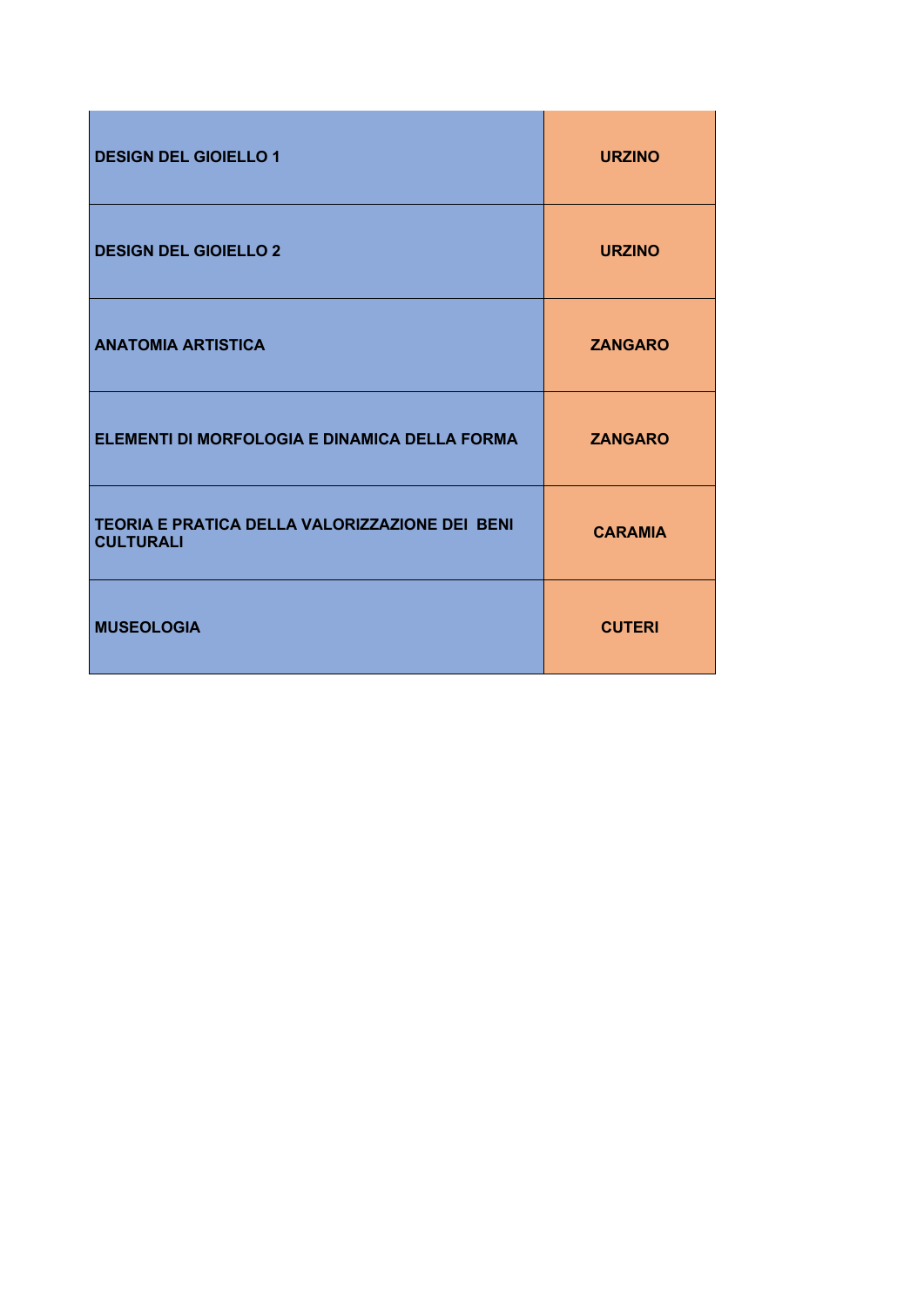| <b>DESIGN DEL GIOIELLO 1</b>                                       | <b>URZINO</b>  |
|--------------------------------------------------------------------|----------------|
| <b>DESIGN DEL GIOIELLO 2</b>                                       | <b>URZINO</b>  |
| <b>ANATOMIA ARTISTICA</b>                                          | <b>ZANGARO</b> |
| ELEMENTI DI MORFOLOGIA E DINAMICA DELLA FORMA                      | <b>ZANGARO</b> |
| TEORIA E PRATICA DELLA VALORIZZAZIONE DEI BENI<br><b>CULTURALI</b> | <b>CARAMIA</b> |
| <b>MUSEOLOGIA</b>                                                  | <b>CUTERI</b>  |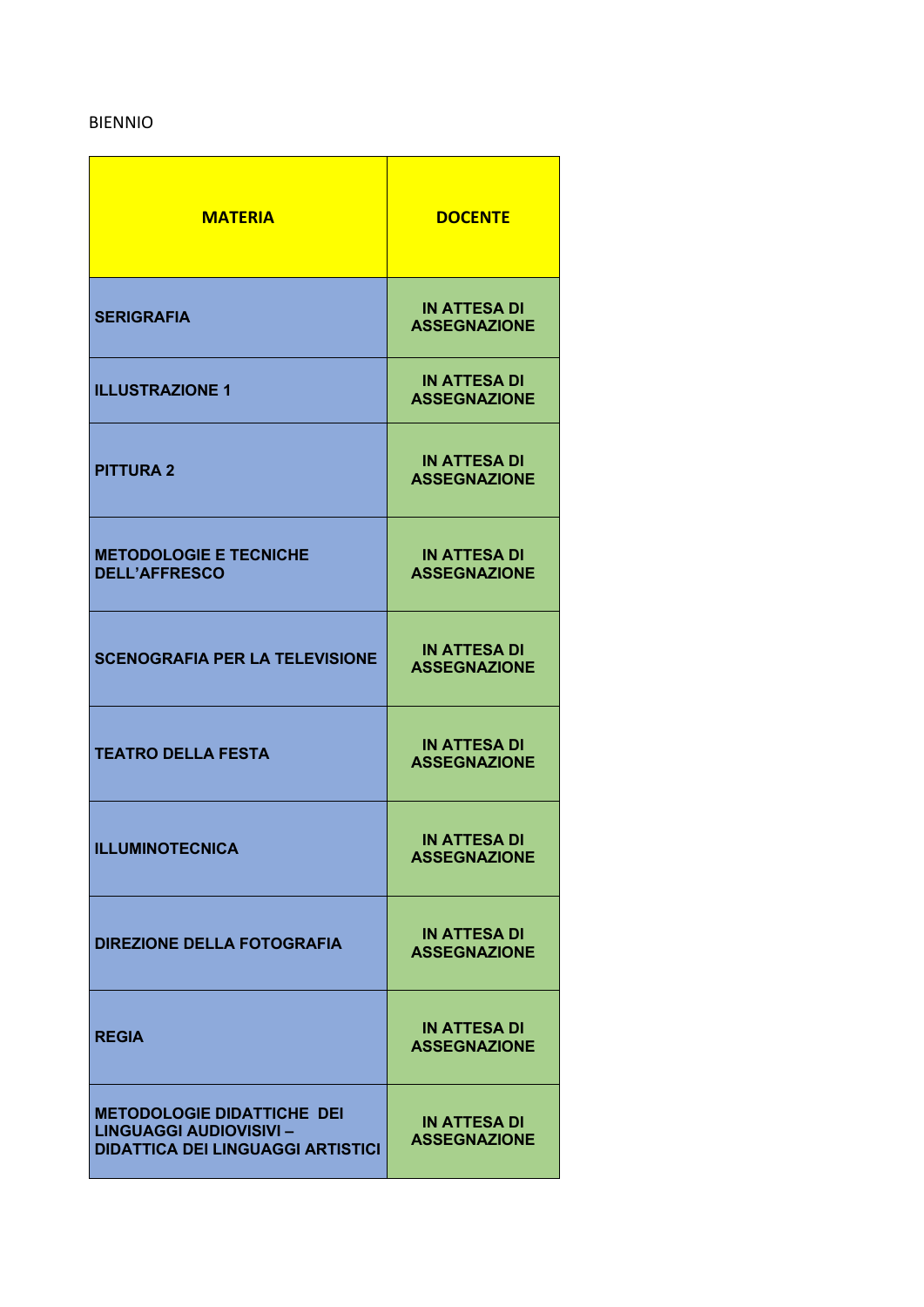## BIENNIO

| <b>MATERIA</b>                                                                                                  | <b>DOCENTE</b>                             |
|-----------------------------------------------------------------------------------------------------------------|--------------------------------------------|
| <b>SERIGRAFIA</b>                                                                                               | <b>IN ATTESA DI</b><br><b>ASSEGNAZIONE</b> |
| <b>ILLUSTRAZIONE 1</b>                                                                                          | <b>IN ATTESA DI</b><br><b>ASSEGNAZIONE</b> |
| <b>PITTURA 2</b>                                                                                                | <b>IN ATTESA DI</b><br><b>ASSEGNAZIONE</b> |
| <b>METODOLOGIE E TECNICHE</b><br><b>DELL'AFFRESCO</b>                                                           | <b>IN ATTESA DI</b><br><b>ASSEGNAZIONE</b> |
| <b>SCENOGRAFIA PER LA TELEVISIONE</b>                                                                           | <b>IN ATTESA DI</b><br><b>ASSEGNAZIONE</b> |
| <b>TEATRO DELLA FESTA</b>                                                                                       | <b>IN ATTESA DI</b><br><b>ASSEGNAZIONE</b> |
| <b>ILLUMINOTECNICA</b>                                                                                          | <b>IN ATTESA DI</b><br><b>ASSEGNAZIONE</b> |
| <b>DIREZIONE DELLA FOTOGRAFIA</b>                                                                               | <b>IN ATTESA DI</b><br><b>ASSEGNAZIONE</b> |
| <b>REGIA</b>                                                                                                    | <b>IN ATTESA DI</b><br><b>ASSEGNAZIONE</b> |
| <b>METODOLOGIE DIDATTICHE DEI</b><br><b>LINGUAGGI AUDIOVISIVI -</b><br><b>DIDATTICA DEI LINGUAGGI ARTISTICI</b> | <b>IN ATTESA DI</b><br><b>ASSEGNAZIONE</b> |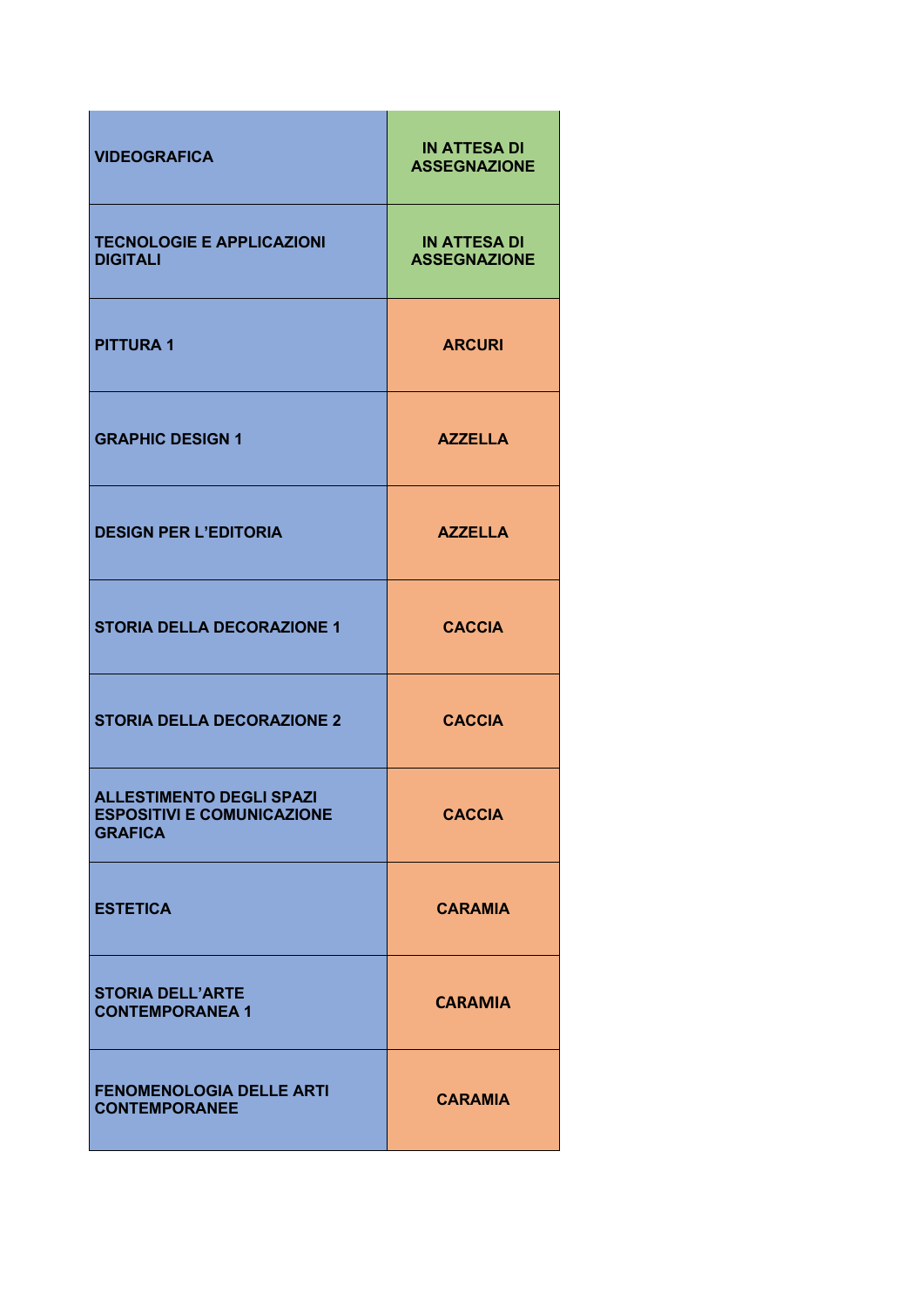| <b>VIDEOGRAFICA</b>                                                                    | <b>IN ATTESA DI</b><br><b>ASSEGNAZIONE</b> |
|----------------------------------------------------------------------------------------|--------------------------------------------|
| <b>TECNOLOGIE E APPLICAZIONI</b><br><b>DIGITALI</b>                                    | <b>IN ATTESA DI</b><br><b>ASSEGNAZIONE</b> |
| <b>PITTURA1</b>                                                                        | <b>ARCURI</b>                              |
| <b>GRAPHIC DESIGN 1</b>                                                                | <b>AZZELLA</b>                             |
| <b>DESIGN PER L'EDITORIA</b>                                                           | <b>AZZELLA</b>                             |
| <b>STORIA DELLA DECORAZIONE 1</b>                                                      | <b>CACCIA</b>                              |
| <b>STORIA DELLA DECORAZIONE 2</b>                                                      | <b>CACCIA</b>                              |
| <b>ALLESTIMENTO DEGLI SPAZI</b><br><b>ESPOSITIVI E COMUNICAZIONE</b><br><b>GRAFICA</b> | <b>CACCIA</b>                              |
| <b>ESTETICA</b>                                                                        | <b>CARAMIA</b>                             |
| <b>STORIA DELL'ARTE</b><br><b>CONTEMPORANEA 1</b>                                      | <b>CARAMIA</b>                             |
| <b>FENOMENOLOGIA DELLE ARTI</b><br><b>CONTEMPORANEE</b>                                | <b>CARAMIA</b>                             |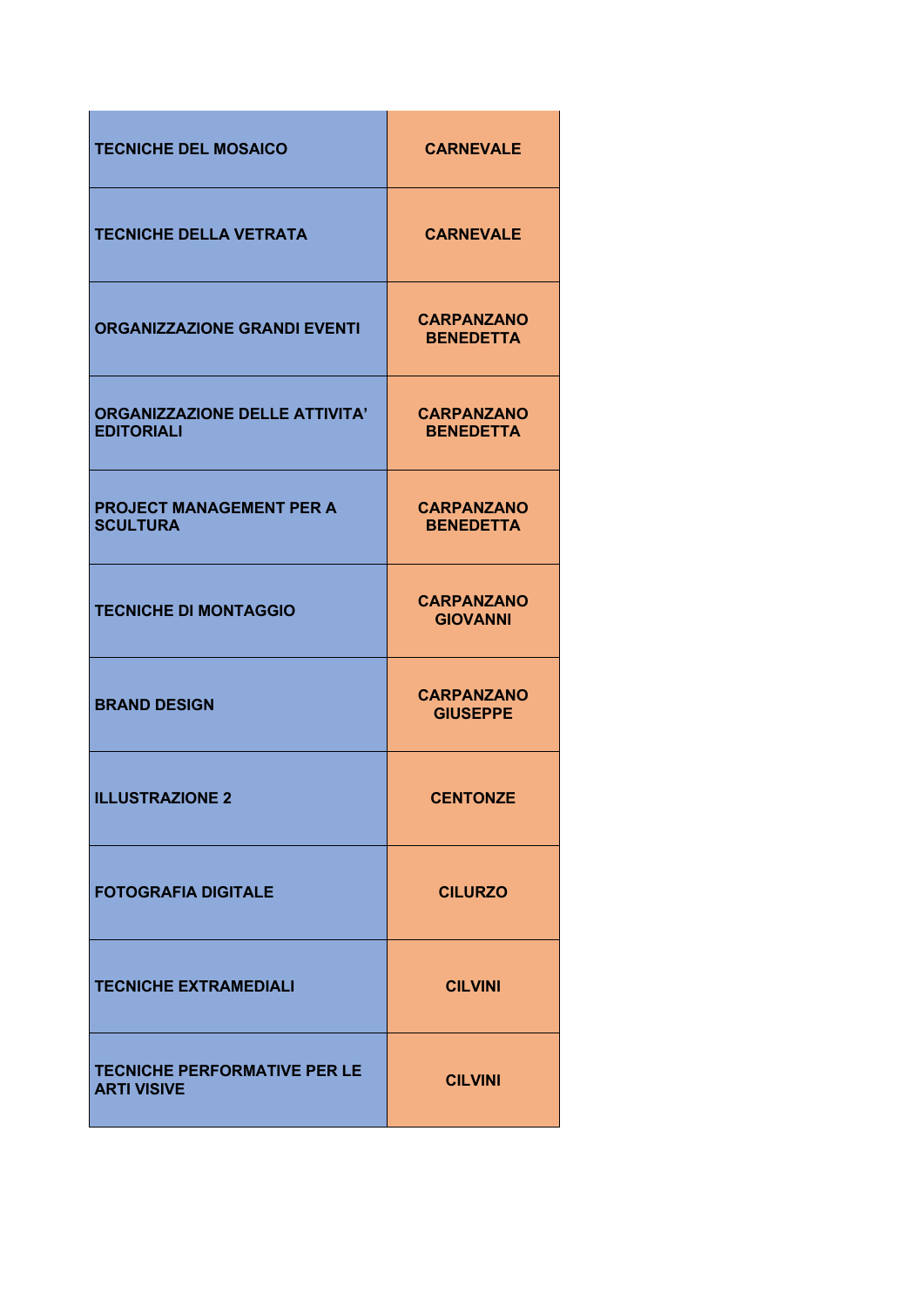| <b>TECNICHE DEL MOSAICO</b>                                | <b>CARNEVALE</b>                      |
|------------------------------------------------------------|---------------------------------------|
| <b>TECNICHE DELLA VETRATA</b>                              | <b>CARNEVALE</b>                      |
| <b>ORGANIZZAZIONE GRANDI EVENTI</b>                        | <b>CARPANZANO</b><br><b>BENEDETTA</b> |
| <b>ORGANIZZAZIONE DELLE ATTIVITA'</b><br><b>EDITORIALI</b> | <b>CARPANZANO</b><br><b>BENEDETTA</b> |
| <b>PROJECT MANAGEMENT PER A</b><br><b>SCULTURA</b>         | <b>CARPANZANO</b><br><b>BENEDETTA</b> |
| <b>TECNICHE DI MONTAGGIO</b>                               | <b>CARPANZANO</b><br><b>GIOVANNI</b>  |
| <b>BRAND DESIGN</b>                                        | <b>CARPANZANO</b><br><b>GIUSEPPE</b>  |
| <b>ILLUSTRAZIONE 2</b>                                     | <b>CENTONZE</b>                       |
| <b>FOTOGRAFIA DIGITALE</b>                                 | <b>CILURZO</b>                        |
| <b>TECNICHE EXTRAMEDIALI</b>                               | <b>CILVINI</b>                        |
| <b>TECNICHE PERFORMATIVE PER LE</b><br><b>ARTI VISIVE</b>  | <b>CILVINI</b>                        |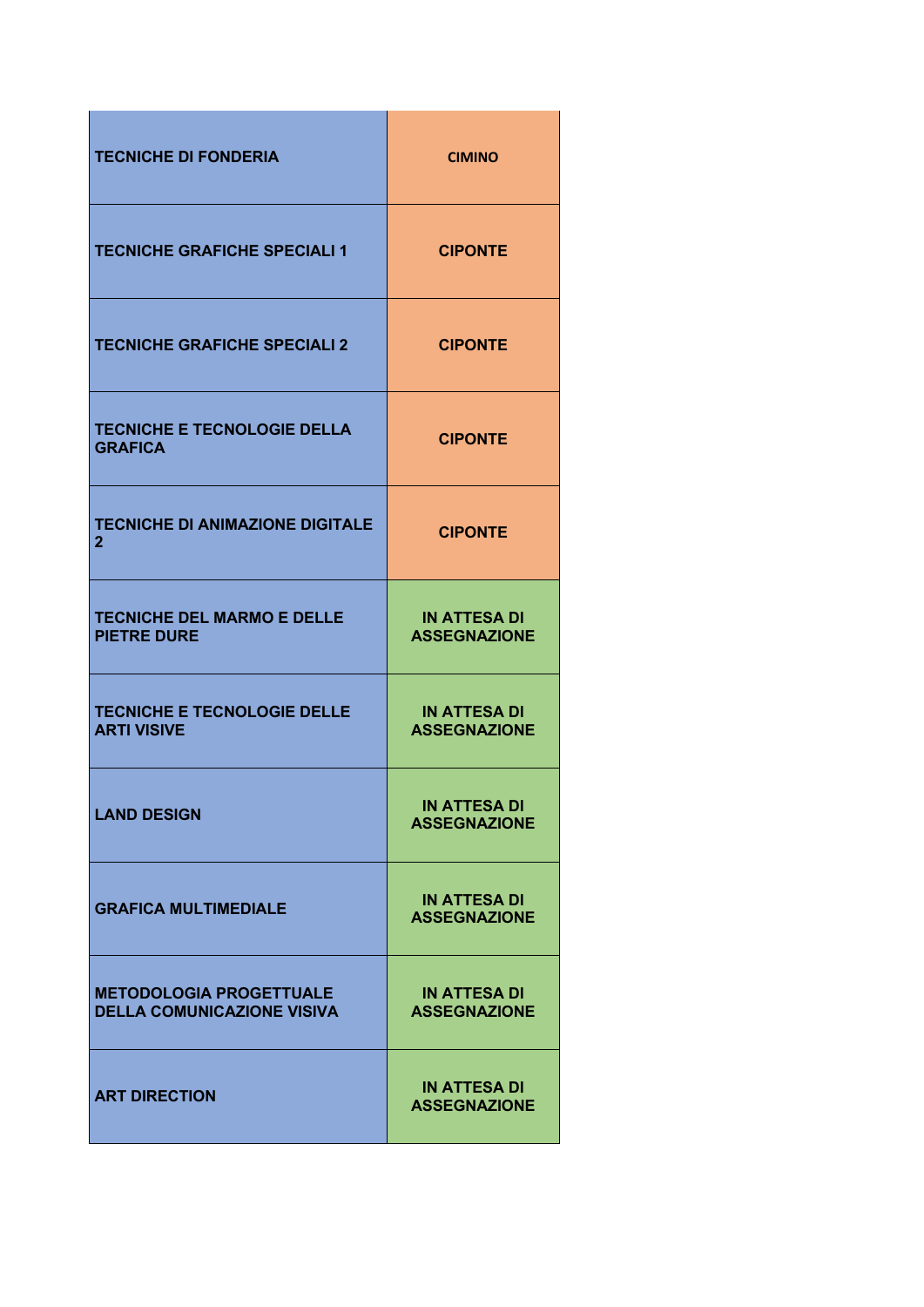| <b>TECNICHE DI FONDERIA</b>                                         | <b>CIMINO</b>                              |
|---------------------------------------------------------------------|--------------------------------------------|
| <b>TECNICHE GRAFICHE SPECIALI 1</b>                                 | <b>CIPONTE</b>                             |
| <b>TECNICHE GRAFICHE SPECIALI 2</b>                                 | <b>CIPONTE</b>                             |
| <b>TECNICHE E TECNOLOGIE DELLA</b><br><b>GRAFICA</b>                | <b>CIPONTE</b>                             |
| <b>TECNICHE DI ANIMAZIONE DIGITALE</b><br>$\mathbf{2}$              | <b>CIPONTE</b>                             |
| <b>TECNICHE DEL MARMO E DELLE</b><br><b>PIETRE DURE</b>             | <b>IN ATTESA DI</b><br><b>ASSEGNAZIONE</b> |
| <b>TECNICHE E TECNOLOGIE DELLE</b><br><b>ARTI VISIVE</b>            | <b>IN ATTESA DI</b><br><b>ASSEGNAZIONE</b> |
| <b>LAND DESIGN</b>                                                  | IN ATTESA DI<br><b>ASSEGNAZIONE</b>        |
| <b>GRAFICA MULTIMEDIALE</b>                                         | <b>IN ATTESA DI</b><br><b>ASSEGNAZIONE</b> |
| <b>METODOLOGIA PROGETTUALE</b><br><b>DELLA COMUNICAZIONE VISIVA</b> | <b>IN ATTESA DI</b><br><b>ASSEGNAZIONE</b> |
| <b>ART DIRECTION</b>                                                | <b>IN ATTESA DI</b><br><b>ASSEGNAZIONE</b> |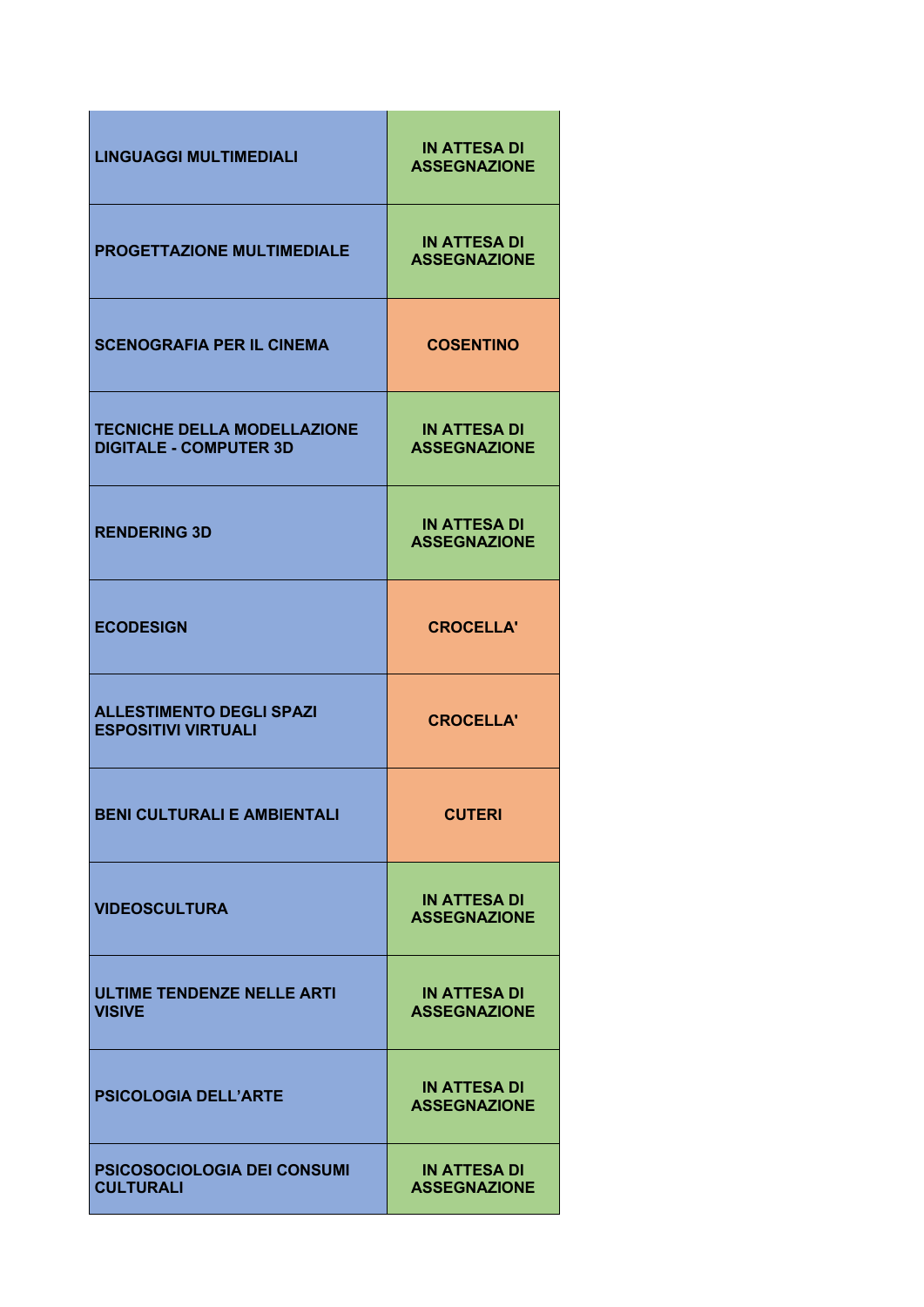| <b>LINGUAGGI MULTIMEDIALI</b>                                       | <b>IN ATTESA DI</b><br><b>ASSEGNAZIONE</b> |
|---------------------------------------------------------------------|--------------------------------------------|
| <b>PROGETTAZIONE MULTIMEDIALE</b>                                   | <b>IN ATTESA DI</b><br><b>ASSEGNAZIONE</b> |
| <b>SCENOGRAFIA PER IL CINEMA</b>                                    | <b>COSENTINO</b>                           |
| <b>TECNICHE DELLA MODELLAZIONE</b><br><b>DIGITALE - COMPUTER 3D</b> | <b>IN ATTESA DI</b><br><b>ASSEGNAZIONE</b> |
| <b>RENDERING 3D</b>                                                 | <b>IN ATTESA DI</b><br><b>ASSEGNAZIONE</b> |
| <b>ECODESIGN</b>                                                    | <b>CROCELLA'</b>                           |
| <b>ALLESTIMENTO DEGLI SPAZI</b><br><b>ESPOSITIVI VIRTUALI</b>       | <b>CROCELLA'</b>                           |
| BENI CULTURALI E AMBIENTALI                                         | <b>CUTERI</b>                              |
| <b>VIDEOSCULTURA</b>                                                | <b>IN ATTESA DI</b><br><b>ASSEGNAZIONE</b> |
| <b>ULTIME TENDENZE NELLE ARTI</b><br><b>VISIVE</b>                  | <b>IN ATTESA DI</b><br><b>ASSEGNAZIONE</b> |
| <b>PSICOLOGIA DELL'ARTE</b>                                         | <b>IN ATTESA DI</b><br><b>ASSEGNAZIONE</b> |
| PSICOSOCIOLOGIA DEI CONSUMI<br><b>CULTURALI</b>                     | <b>IN ATTESA DI</b><br><b>ASSEGNAZIONE</b> |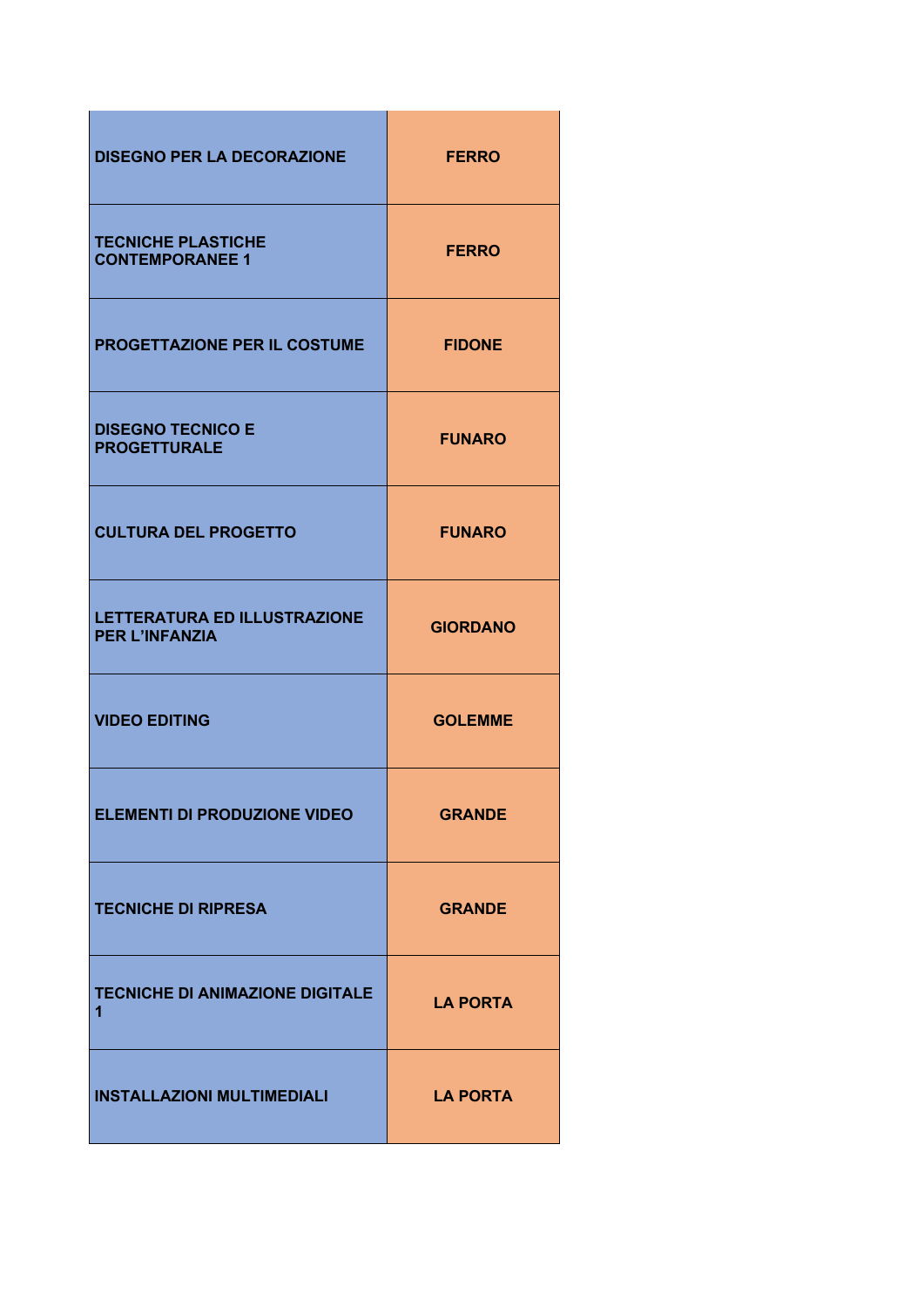| <b>DISEGNO PER LA DECORAZIONE</b>                     | <b>FERRO</b>    |
|-------------------------------------------------------|-----------------|
| <b>TECNICHE PLASTICHE</b><br><b>CONTEMPORANEE 1</b>   | <b>FERRO</b>    |
| PROGETTAZIONE PER IL COSTUME                          | <b>FIDONE</b>   |
| <b>DISEGNO TECNICO E</b><br><b>PROGETTURALE</b>       | <b>FUNARO</b>   |
| <b>CULTURA DEL PROGETTO</b>                           | <b>FUNARO</b>   |
| LETTERATURA ED ILLUSTRAZIONE<br><b>PER L'INFANZIA</b> | <b>GIORDANO</b> |
| <b>VIDEO EDITING</b>                                  | <b>GOLEMME</b>  |
| <b>ELEMENTI DI PRODUZIONE VIDEO</b>                   | <b>GRANDE</b>   |
| <b>TECNICHE DI RIPRESA</b>                            | <b>GRANDE</b>   |
| <b>TECNICHE DI ANIMAZIONE DIGITALE</b><br>1           | <b>LA PORTA</b> |
| <b>INSTALLAZIONI MULTIMEDIALI</b>                     | <b>LA PORTA</b> |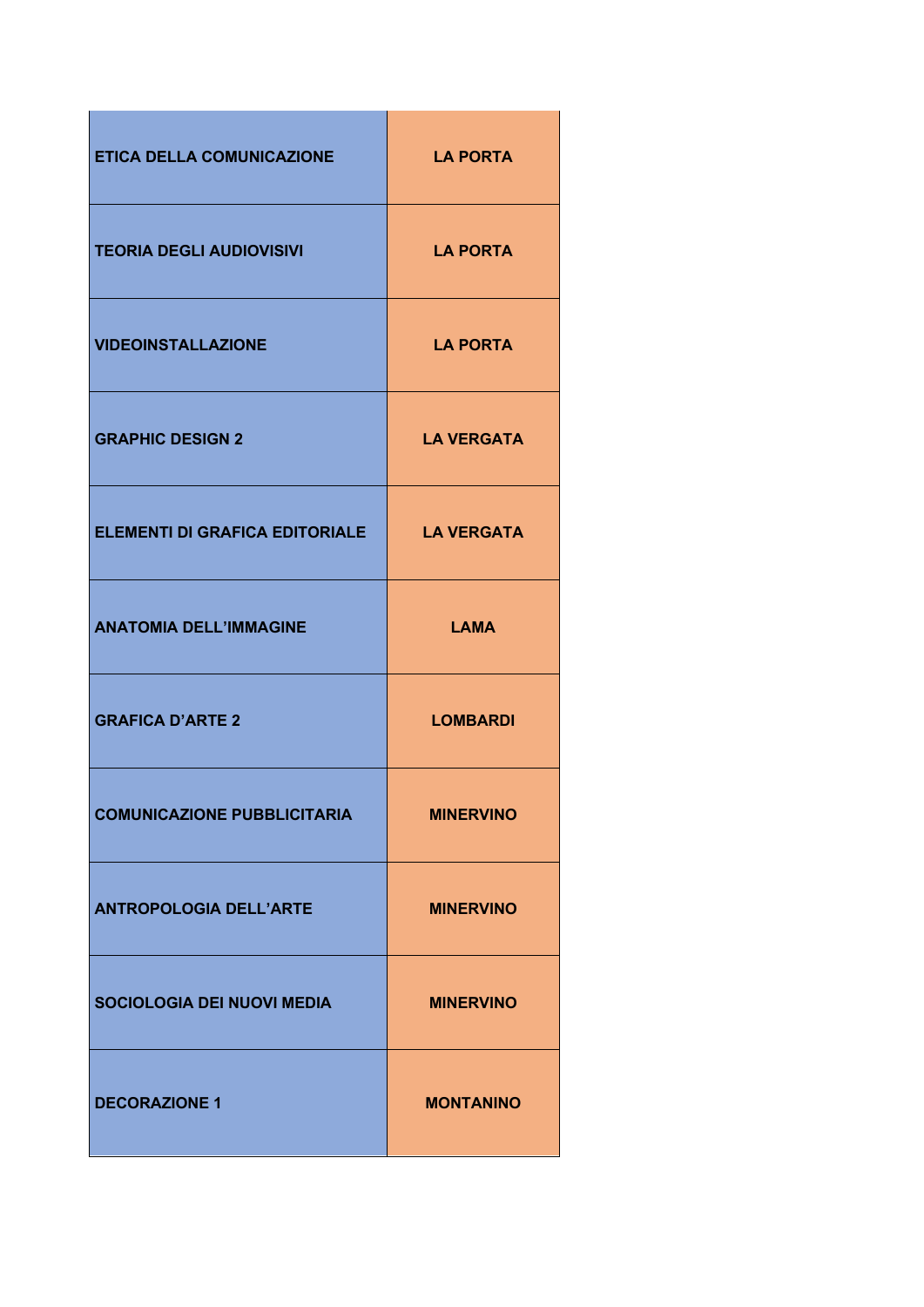| <b>ETICA DELLA COMUNICAZIONE</b>      | <b>LA PORTA</b>   |
|---------------------------------------|-------------------|
| <b>TEORIA DEGLI AUDIOVISIVI</b>       | <b>LA PORTA</b>   |
| <b>VIDEOINSTALLAZIONE</b>             | <b>LA PORTA</b>   |
| <b>GRAPHIC DESIGN 2</b>               | <b>LA VERGATA</b> |
| <b>ELEMENTI DI GRAFICA EDITORIALE</b> | <b>LA VERGATA</b> |
| <b>ANATOMIA DELL'IMMAGINE</b>         | <b>LAMA</b>       |
| <b>GRAFICA D'ARTE 2</b>               | <b>LOMBARDI</b>   |
| <b>COMUNICAZIONE PUBBLICITARIA</b>    | <b>MINERVINO</b>  |
| <b>ANTROPOLOGIA DELL'ARTE</b>         | <b>MINERVINO</b>  |
| <b>SOCIOLOGIA DEI NUOVI MEDIA</b>     | <b>MINERVINO</b>  |
| <b>DECORAZIONE 1</b>                  | <b>MONTANINO</b>  |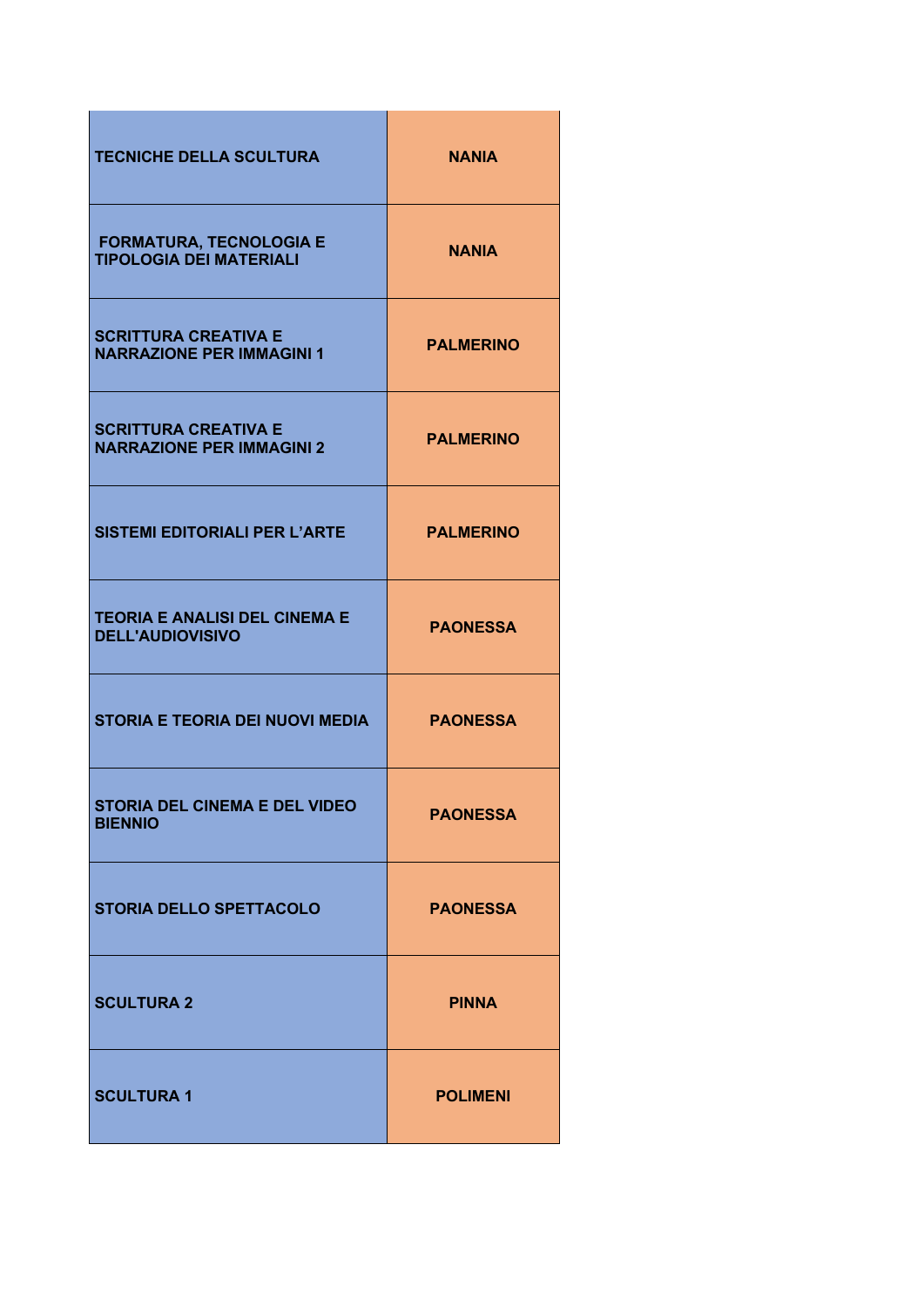| <b>TECNICHE DELLA SCULTURA</b>                                   | <b>NANIA</b>     |
|------------------------------------------------------------------|------------------|
| <b>FORMATURA, TECNOLOGIA E</b><br><b>TIPOLOGIA DEI MATERIALI</b> | <b>NANIA</b>     |
| <b>SCRITTURA CREATIVA E</b><br><b>NARRAZIONE PER IMMAGINI 1</b>  | <b>PALMERINO</b> |
| <b>SCRITTURA CREATIVA E</b><br><b>NARRAZIONE PER IMMAGINI 2</b>  | <b>PALMERINO</b> |
| <b>SISTEMI EDITORIALI PER L'ARTE</b>                             | <b>PALMERINO</b> |
| <b>TEORIA E ANALISI DEL CINEMA E</b><br><b>DELL'AUDIOVISIVO</b>  | <b>PAONESSA</b>  |
| <b>STORIA E TEORIA DEI NUOVI MEDIA</b>                           | <b>PAONESSA</b>  |
| <b>STORIA DEL CINEMA E DEL VIDEO</b><br><b>BIENNIO</b>           | <b>PAONESSA</b>  |
| <b>STORIA DELLO SPETTACOLO</b>                                   | <b>PAONESSA</b>  |
| <b>SCULTURA 2</b>                                                | <b>PINNA</b>     |
| <b>SCULTURA 1</b>                                                | <b>POLIMENI</b>  |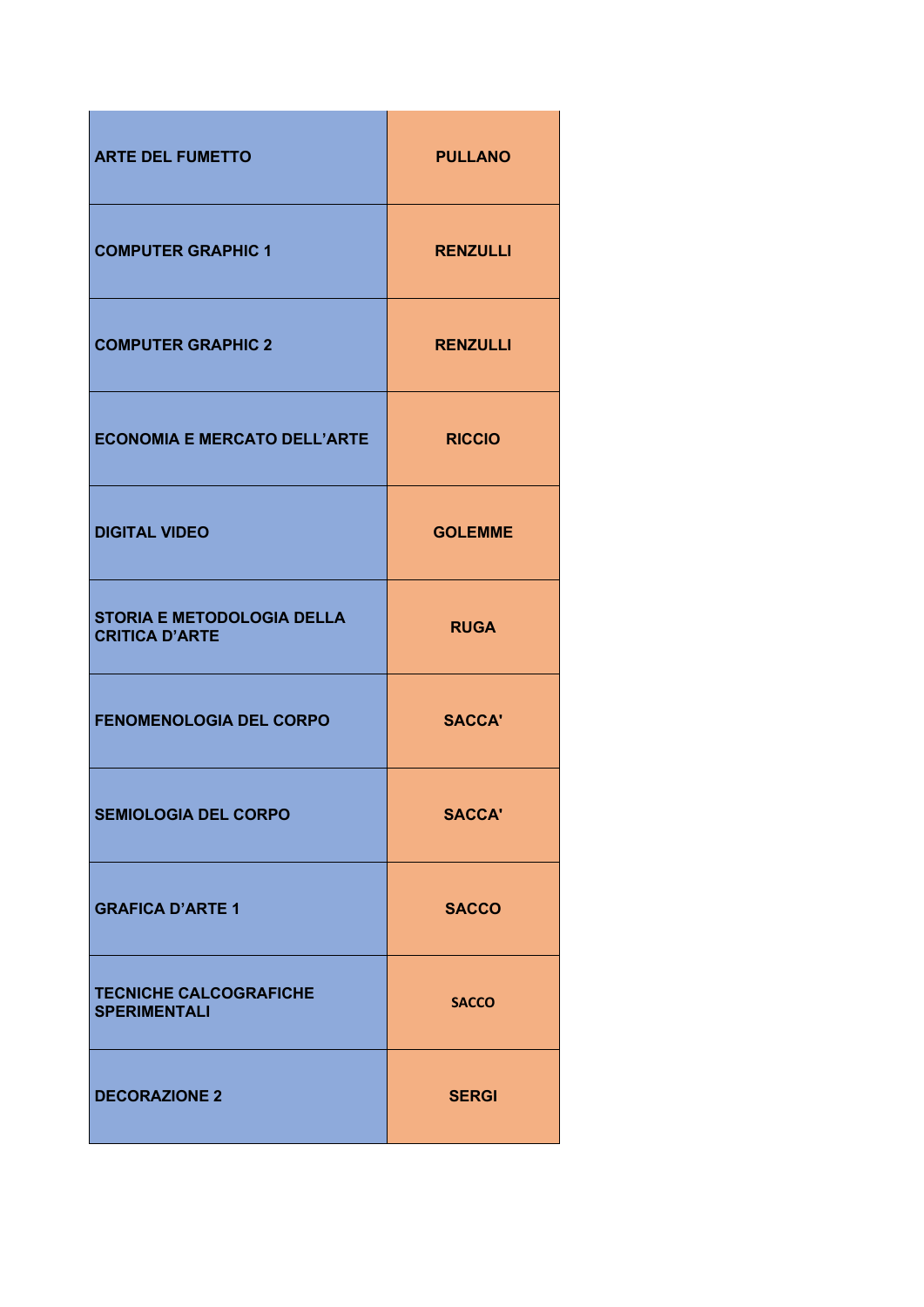| <b>ARTE DEL FUMETTO</b>                                    | <b>PULLANO</b>  |
|------------------------------------------------------------|-----------------|
| <b>COMPUTER GRAPHIC 1</b>                                  | <b>RENZULLI</b> |
| <b>COMPUTER GRAPHIC 2</b>                                  | <b>RENZULLI</b> |
| <b>ECONOMIA E MERCATO DELL'ARTE</b>                        | <b>RICCIO</b>   |
| <b>DIGITAL VIDEO</b>                                       | <b>GOLEMME</b>  |
| <b>STORIA E METODOLOGIA DELLA</b><br><b>CRITICA D'ARTE</b> | <b>RUGA</b>     |
| <b>FENOMENOLOGIA DEL CORPO</b>                             | <b>SACCA'</b>   |
| <b>SEMIOLOGIA DEL CORPO</b>                                | <b>SACCA'</b>   |
| <b>GRAFICA D'ARTE 1</b>                                    | <b>SACCO</b>    |
| <b>TECNICHE CALCOGRAFICHE</b><br><b>SPERIMENTALI</b>       | <b>SACCO</b>    |
| <b>DECORAZIONE 2</b>                                       | <b>SERGI</b>    |